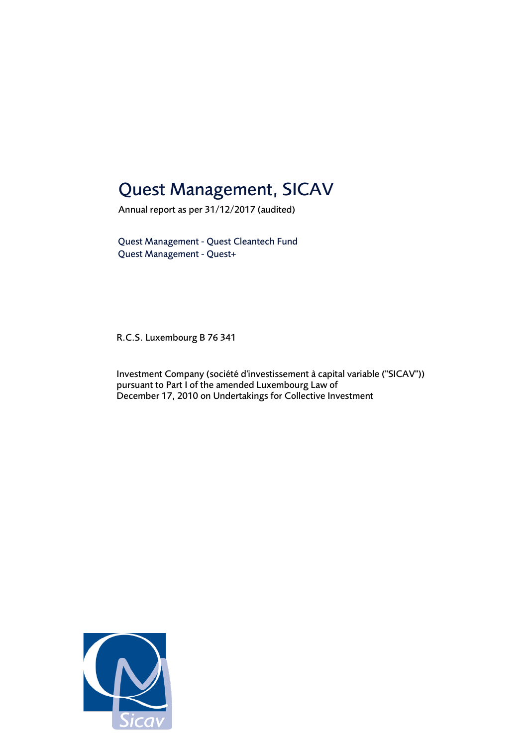### Quest Management, SICAV

Annual report as per 31/12/2017 (audited)

Quest Management - Quest Cleantech Fund Quest Management - Quest+

R.C.S. Luxembourg B 76 341

Investment Company (société d'investissement à capital variable ("SICAV")) pursuant to Part I of the amended Luxembourg Law of December 17, 2010 on Undertakings for Collective Investment

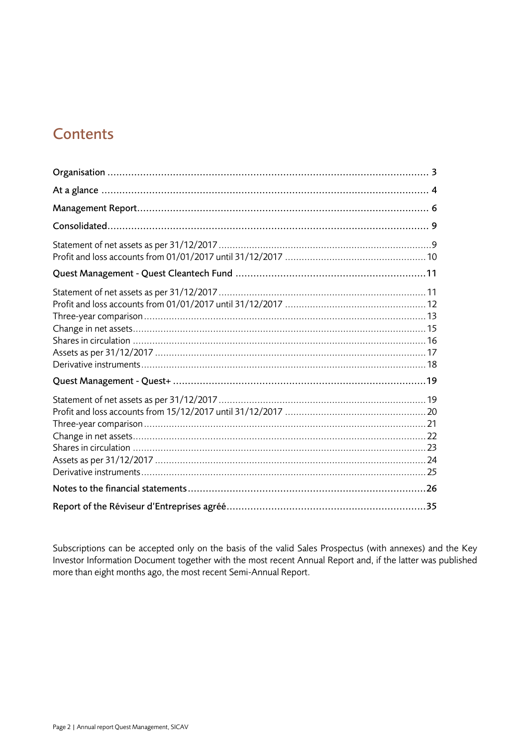### **Contents**

Subscriptions can be accepted only on the basis of the valid Sales Prospectus (with annexes) and the Key Investor Information Document together with the most recent Annual Report and, if the latter was published more than eight months ago, the most recent Semi-Annual Report.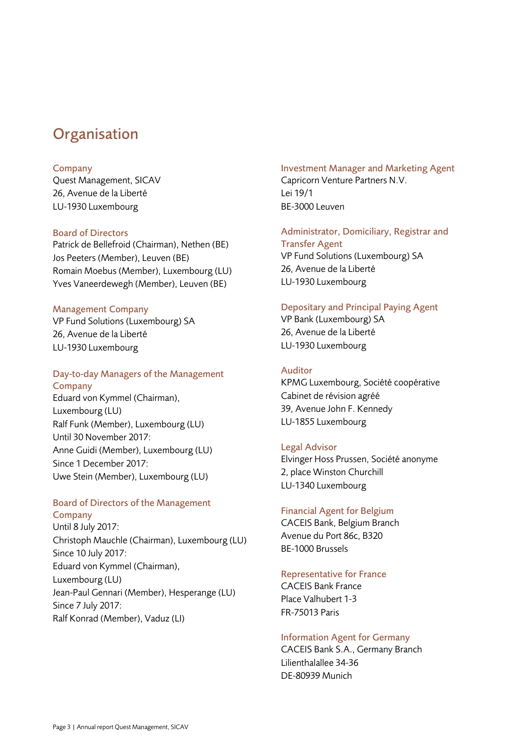### <span id="page-2-0"></span>**Organisation**

### Company

Quest Management, SICAV 26, Avenue de la Liberté LU-1930 Luxembourg

### Board of Directors

Patrick de Bellefroid (Chairman), Nethen (BE) Jos Peeters (Member), Leuven (BE) Romain Moebus (Member), Luxembourg (LU) Yves Vaneerdewegh (Member), Leuven (BE)

### Management Company

VP Fund Solutions (Luxembourg) SA 26, Avenue de la Liberté LU-1930 Luxembourg

### Day-to-day Managers of the Management **Company**

Eduard von Kymmel (Chairman), Luxembourg (LU) Ralf Funk (Member), Luxembourg (LU) Until 30 November 2017: Anne Guidi (Member), Luxembourg (LU) Since 1 December 2017: Uwe Stein (Member), Luxembourg (LU)

#### Board of Directors of the Management Company

Until 8 July 2017: Christoph Mauchle (Chairman), Luxembourg (LU) Since 10 July 2017: Eduard von Kymmel (Chairman), Luxembourg (LU) Jean-Paul Gennari (Member), Hesperange (LU) Since 7 July 2017: Ralf Konrad (Member), Vaduz (LI)

Investment Manager and Marketing Agent Capricorn Venture Partners N.V. Lei 19/1 BE-3000 Leuven

Administrator, Domiciliary, Registrar and Transfer Agent VP Fund Solutions (Luxembourg) SA 26, Avenue de la Liberté LU-1930 Luxembourg

### Depositary and Principal Paying Agent

VP Bank (Luxembourg) SA 26, Avenue de la Liberté LU-1930 Luxembourg

### Auditor

KPMG Luxembourg, Société coopérative Cabinet de révision agréé 39, Avenue John F. Kennedy LU-1855 Luxembourg

### Legal Advisor

Elvinger Hoss Prussen, Société anonyme 2, place Winston Churchill LU-1340 Luxembourg

### Financial Agent for Belgium

CACEIS Bank, Belgium Branch Avenue du Port 86c, B320 BE-1000 Brussels

### Representative for France

CACEIS Bank France Place Valhubert 1-3 FR-75013 Paris

### Information Agent for Germany

CACEIS Bank S.A., Germany Branch Lilienthalallee 34-36 DE-80939 Munich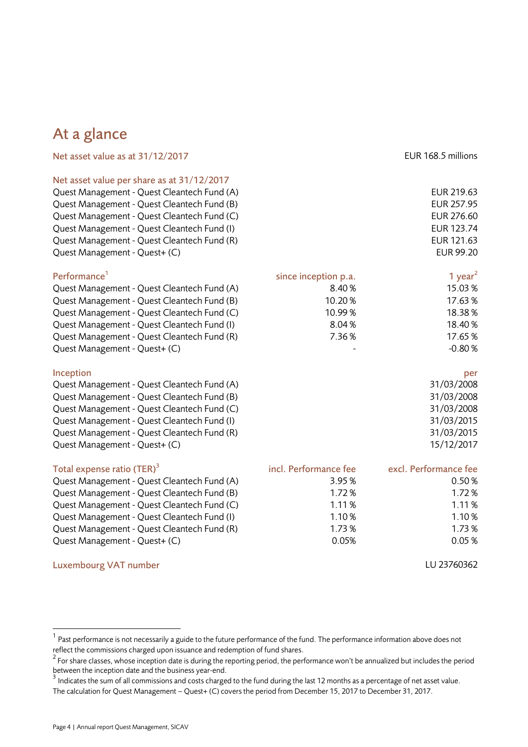### <span id="page-3-0"></span>At a glance

| Net asset value as at 31/12/2017            |                       | EUR 168.5 millions    |
|---------------------------------------------|-----------------------|-----------------------|
| Net asset value per share as at 31/12/2017  |                       |                       |
| Quest Management - Quest Cleantech Fund (A) |                       | EUR 219.63            |
| Quest Management - Quest Cleantech Fund (B) |                       | EUR 257.95            |
| Quest Management - Quest Cleantech Fund (C) |                       | EUR 276.60            |
| Quest Management - Quest Cleantech Fund (I) |                       | EUR 123.74            |
| Quest Management - Quest Cleantech Fund (R) |                       | EUR 121.63            |
| Quest Management - Quest+ (C)               |                       | <b>EUR 99.20</b>      |
| Performance <sup>1</sup>                    | since inception p.a.  | 1 year <sup>2</sup>   |
| Quest Management - Quest Cleantech Fund (A) | 8.40%                 | 15.03%                |
| Quest Management - Quest Cleantech Fund (B) | 10.20%                | 17.63%                |
| Quest Management - Quest Cleantech Fund (C) | 10.99%                | 18.38%                |
| Quest Management - Quest Cleantech Fund (I) | 8.04%                 | 18.40%                |
| Quest Management - Quest Cleantech Fund (R) | 7.36%                 | 17.65%                |
| Quest Management - Quest+ (C)               |                       | $-0.80%$              |
| Inception                                   |                       | per                   |
| Quest Management - Quest Cleantech Fund (A) |                       | 31/03/2008            |
| Quest Management - Quest Cleantech Fund (B) |                       | 31/03/2008            |
| Quest Management - Quest Cleantech Fund (C) |                       | 31/03/2008            |
| Quest Management - Quest Cleantech Fund (I) |                       | 31/03/2015            |
| Quest Management - Quest Cleantech Fund (R) |                       | 31/03/2015            |
| Quest Management - Quest+ (C)               |                       | 15/12/2017            |
| Total expense ratio (TER) <sup>3</sup>      | incl. Performance fee | excl. Performance fee |
| Quest Management - Quest Cleantech Fund (A) | 3.95%                 | 0.50%                 |
| Quest Management - Quest Cleantech Fund (B) | 1.72%                 | 1.72%                 |
| Quest Management - Quest Cleantech Fund (C) | 1.11%                 | 1.11%                 |
| Quest Management - Quest Cleantech Fund (I) | 1.10%                 | 1.10%                 |
| Quest Management - Quest Cleantech Fund (R) | 1.73%                 | 1.73%                 |
| Quest Management - Quest+ (C)               | 0.05%                 | 0.05%                 |
| <b>Luxembourg VAT number</b>                |                       | LU 23760362           |

l

 $^{\rm 1}$  Past performance is not necessarily a guide to the future performance of the fund. The performance information above does not reflect the commissions charged upon issuance and redemption of fund shares.

 $^2$  For share classes, whose inception date is during the reporting period, the performance won't be annualized but includes the period between the inception date and the business year-end.<br><sup>3</sup> Indicates the sum of all commissions and costs charged to the fund during the last 12 months as a percentage of net asset value.

The calculation for Quest Management – Quest+ (C) covers the period from December 15, 2017 to December 31, 2017.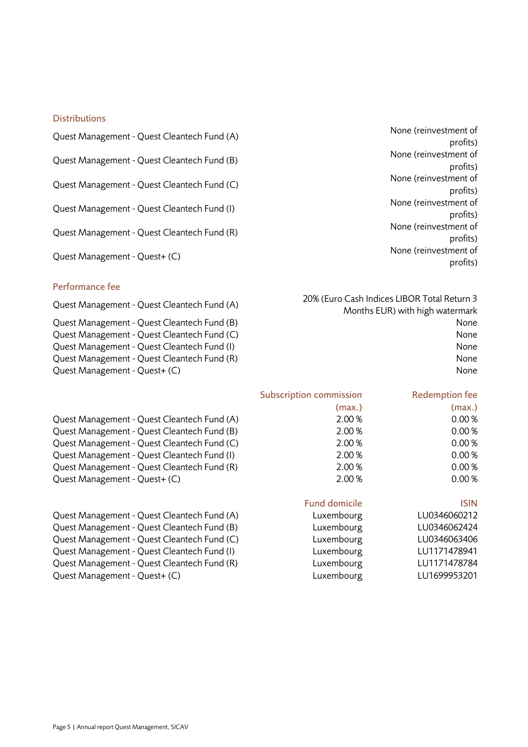#### **Distributions**

| Quest Management - Quest Cleantech Fund (A) |  |  |  |  |
|---------------------------------------------|--|--|--|--|
|---------------------------------------------|--|--|--|--|

Quest Management - Quest Cleantech Fund (B) None (reinvestment of

Quest Management - Quest Cleantech Fund (C) None (reinvestment of

Quest Management - Quest Cleantech Fund (I) None (reinvestment of

Quest Management - Quest Cleantech Fund (R) None (reinvestment of

### Performance fee

Quest Management - Quest Cleantech Fund (C) None Quest Management - Quest Cleantech Fund (I) None Quest Management - Quest Cleantech Fund (R) None Quest Management - Quest+ (C) None

Quest Management - Quest Cleantech Fund (A) 2.00 % 0.00 % Quest Management - Quest Cleantech Fund (B)  $2.00\%$  2.00 % 0.00 % Quest Management - Quest Cleantech Fund (C)  $2.00\%$  0.00 % Quest Management - Quest Cleantech Fund (I) 2.00 % 0.00 % Quest Management - Quest Cleantech Fund (R)  $2.00\%$  2.00 % 0.00 % Quest Management - Quest+ (C)  $2.00\%$  0.00 %

Quest Management - Quest Cleantech Fund (A) Lux Quest Management - Quest Cleantech Fund (B) Luxembourg LU0346062424 Quest Management - Quest Cleantech Fund (C) Lux Quest Management - Quest Cleantech Fund (I) Lux Quest Management - Quest Cleantech Fund (R) Luxembourg Luxembourg Luxembourg Luxembourg Luxembourg Luxembourg Lux Quest Management - Quest+ (C) Luxembourg Luxembourg Luxembourg Luxembourg Luxembourg Luxembourg Luxembourg Lux

Quest Mone (reinvestment of profits) profits) profits) profits) profits) Quest Management - Quest+ (C) None (reinvestment of None (reinvestment of profits)

Quest Management - Quest Cleantech Fund (A) 20% (Euro Cash Indices LIBOR Total Return 3 Months EUR) with high watermark Quest Management - Quest Cleantech Fund (B) None

Subscription commission

# (max.)

Redemption fee

Fund domicile **ISIN** 

(max.)

| embourg) | LU0346060212 |
|----------|--------------|
| embourg) | LU0346062424 |
| embourg) | LU0346063406 |
| embourg) | LU1171478941 |
| embourg) | LU1171478784 |
| embourg) | LU1699953201 |
|          |              |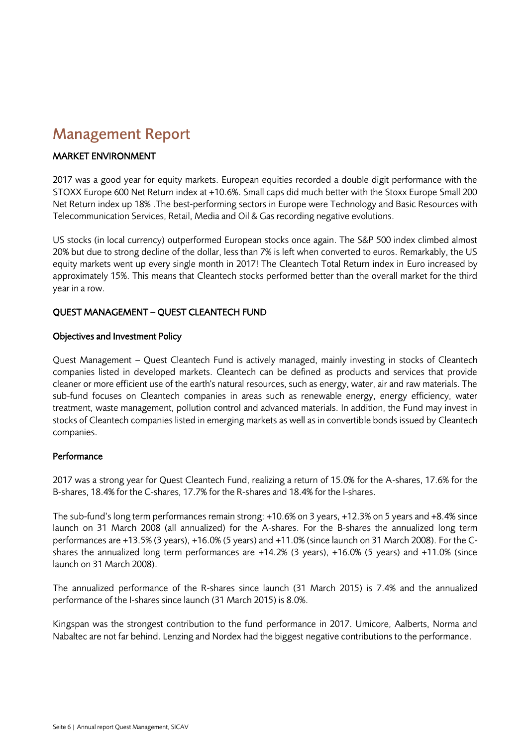### <span id="page-5-0"></span>Management Report

### MARKET ENVIRONMENT

2017 was a good year for equity markets. European equities recorded a double digit performance with the STOXX Europe 600 Net Return index at +10.6%. Small caps did much better with the Stoxx Europe Small 200 Net Return index up 18% .The best-performing sectors in Europe were Technology and Basic Resources with Telecommunication Services, Retail, Media and Oil & Gas recording negative evolutions.

US stocks (in local currency) outperformed European stocks once again. The S&P 500 index climbed almost 20% but due to strong decline of the dollar, less than 7% is left when converted to euros. Remarkably, the US equity markets went up every single month in 2017! The Cleantech Total Return index in Euro increased by approximately 15%. This means that Cleantech stocks performed better than the overall market for the third year in a row.

### QUEST MANAGEMENT – QUEST CLEANTECH FUND

### Objectives and Investment Policy

Quest Management – Quest Cleantech Fund is actively managed, mainly investing in stocks of Cleantech companies listed in developed markets. Cleantech can be defined as products and services that provide cleaner or more efficient use of the earth's natural resources, such as energy, water, air and raw materials. The sub-fund focuses on Cleantech companies in areas such as renewable energy, energy efficiency, water treatment, waste management, pollution control and advanced materials. In addition, the Fund may invest in stocks of Cleantech companies listed in emerging markets as well as in convertible bonds issued by Cleantech companies.

### Performance

2017 was a strong year for Quest Cleantech Fund, realizing a return of 15.0% for the A-shares, 17.6% for the B-shares, 18.4% for the C-shares, 17.7% for the R-shares and 18.4% for the I-shares.

The sub-fund's long term performances remain strong: +10.6% on 3 years, +12.3% on 5 years and +8.4% since launch on 31 March 2008 (all annualized) for the A-shares. For the B-shares the annualized long term performances are +13.5% (3 years), +16.0% (5 years) and +11.0% (since launch on 31 March 2008). For the Cshares the annualized long term performances are +14.2% (3 years), +16.0% (5 years) and +11.0% (since launch on 31 March 2008).

The annualized performance of the R-shares since launch (31 March 2015) is 7.4% and the annualized performance of the I-shares since launch (31 March 2015) is 8.0%.

Kingspan was the strongest contribution to the fund performance in 2017. Umicore, Aalberts, Norma and Nabaltec are not far behind. Lenzing and Nordex had the biggest negative contributions to the performance.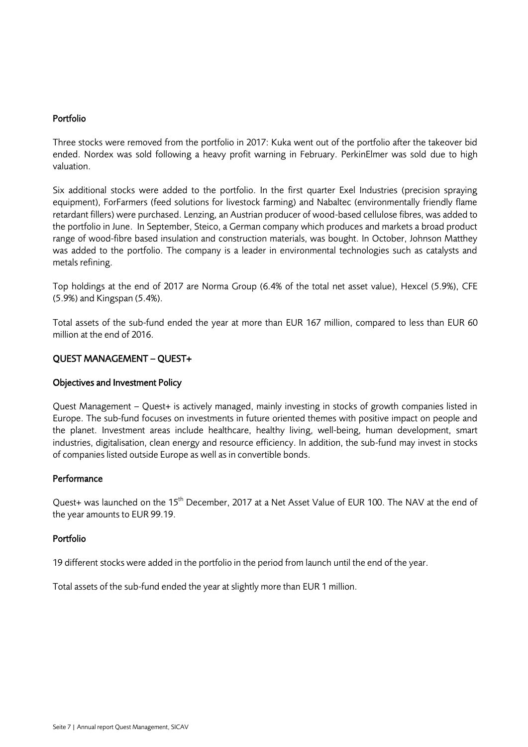### Portfolio

Three stocks were removed from the portfolio in 2017: Kuka went out of the portfolio after the takeover bid ended. Nordex was sold following a heavy profit warning in February. PerkinElmer was sold due to high valuation.

Six additional stocks were added to the portfolio. In the first quarter Exel Industries (precision spraying equipment), ForFarmers (feed solutions for livestock farming) and Nabaltec (environmentally friendly flame retardant fillers) were purchased. Lenzing, an Austrian producer of wood-based cellulose fibres, was added to the portfolio in June. In September, Steico, a German company which produces and markets a broad product range of wood-fibre based insulation and construction materials, was bought. In October, Johnson Matthey was added to the portfolio. The company is a leader in environmental technologies such as catalysts and metals refining.

Top holdings at the end of 2017 are Norma Group (6.4% of the total net asset value), Hexcel (5.9%), CFE (5.9%) and Kingspan (5.4%).

Total assets of the sub-fund ended the year at more than EUR 167 million, compared to less than EUR 60 million at the end of 2016.

### QUEST MANAGEMENT – QUEST+

### Objectives and Investment Policy

Quest Management – Quest+ is actively managed, mainly investing in stocks of growth companies listed in Europe. The sub-fund focuses on investments in future oriented themes with positive impact on people and the planet. Investment areas include healthcare, healthy living, well-being, human development, smart industries, digitalisation, clean energy and resource efficiency. In addition, the sub-fund may invest in stocks of companies listed outside Europe as well as in convertible bonds.

### **Performance**

Quest+ was launched on the 15<sup>th</sup> December, 2017 at a Net Asset Value of EUR 100. The NAV at the end of the year amounts to EUR 99.19.

### Portfolio

19 different stocks were added in the portfolio in the period from launch until the end of the year.

Total assets of the sub-fund ended the year at slightly more than EUR 1 million.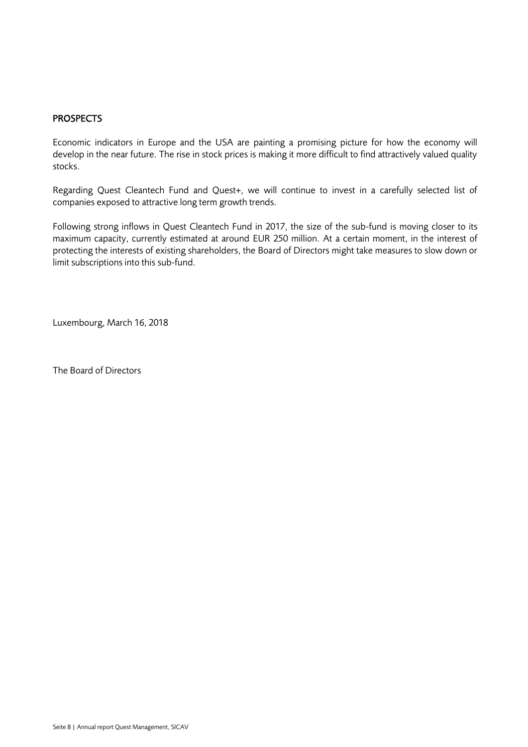### **PROSPECTS**

Economic indicators in Europe and the USA are painting a promising picture for how the economy will develop in the near future. The rise in stock prices is making it more difficult to find attractively valued quality stocks.

Regarding Quest Cleantech Fund and Quest+, we will continue to invest in a carefully selected list of companies exposed to attractive long term growth trends.

Following strong inflows in Quest Cleantech Fund in 2017, the size of the sub-fund is moving closer to its maximum capacity, currently estimated at around EUR 250 million. At a certain moment, in the interest of protecting the interests of existing shareholders, the Board of Directors might take measures to slow down or limit subscriptions into this sub-fund.

Luxembourg, March 16, 2018

The Board of Directors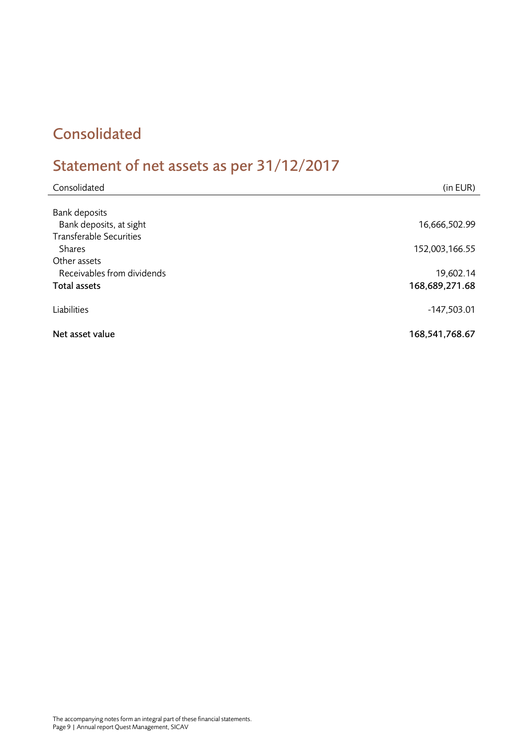### <span id="page-8-0"></span>Consolidated

# <span id="page-8-1"></span>Statement of net assets as per 31/12/2017

| Consolidated                   | (in EUR)       |
|--------------------------------|----------------|
|                                |                |
| <b>Bank deposits</b>           |                |
| Bank deposits, at sight        | 16,666,502.99  |
| <b>Transferable Securities</b> |                |
| <b>Shares</b>                  | 152,003,166.55 |
| Other assets                   |                |
| Receivables from dividends     | 19,602.14      |
| <b>Total assets</b>            | 168,689,271.68 |
| Liabilities                    | $-147,503.01$  |
| Net asset value                | 168,541,768.67 |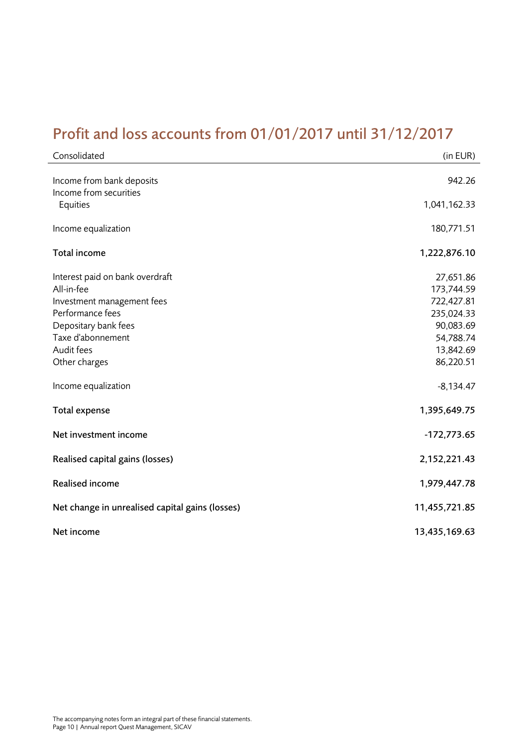### <span id="page-9-0"></span>Profit and loss accounts from 01/01/2017 until 31/12/2017

| Consolidated                                        | (in EUR)                |
|-----------------------------------------------------|-------------------------|
| Income from bank deposits<br>Income from securities | 942.26                  |
| Equities                                            | 1,041,162.33            |
| Income equalization                                 | 180,771.51              |
| Total income                                        | 1,222,876.10            |
| Interest paid on bank overdraft<br>All-in-fee       | 27,651.86<br>173,744.59 |
| Investment management fees                          | 722,427.81              |
| Performance fees                                    | 235,024.33              |
| Depositary bank fees                                | 90,083.69               |
| Taxe d'abonnement                                   | 54,788.74               |
| Audit fees                                          | 13,842.69               |
| Other charges                                       | 86,220.51               |
| Income equalization                                 | $-8,134.47$             |
| <b>Total expense</b>                                | 1,395,649.75            |
| Net investment income                               | $-172,773.65$           |
| Realised capital gains (losses)                     | 2,152,221.43            |
| Realised income                                     | 1,979,447.78            |
| Net change in unrealised capital gains (losses)     | 11,455,721.85           |
| Net income                                          | 13,435,169.63           |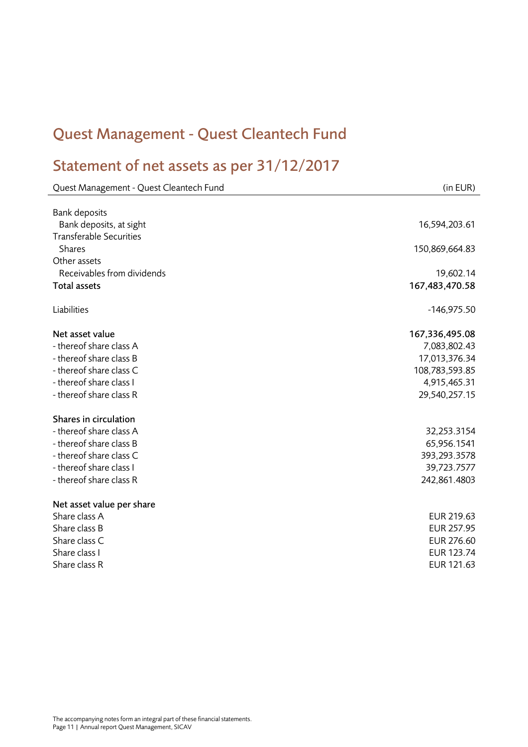# <span id="page-10-0"></span>Quest Management - Quest Cleantech Fund

# <span id="page-10-1"></span>Statement of net assets as per 31/12/2017

| Quest Management - Quest Cleantech Fund | (in EUR)          |
|-----------------------------------------|-------------------|
|                                         |                   |
| <b>Bank deposits</b>                    |                   |
| Bank deposits, at sight                 | 16,594,203.61     |
| <b>Transferable Securities</b>          |                   |
| <b>Shares</b>                           | 150,869,664.83    |
| Other assets                            |                   |
| Receivables from dividends              | 19,602.14         |
| <b>Total assets</b>                     | 167,483,470.58    |
| Liabilities                             | $-146,975.50$     |
| Net asset value                         | 167,336,495.08    |
| - thereof share class A                 | 7,083,802.43      |
| - thereof share class B                 | 17,013,376.34     |
| - thereof share class C                 | 108,783,593.85    |
| - thereof share class I                 | 4,915,465.31      |
| - thereof share class R                 | 29,540,257.15     |
| Shares in circulation                   |                   |
| - thereof share class A                 | 32,253.3154       |
| - thereof share class B                 | 65,956.1541       |
| - thereof share class C                 | 393,293.3578      |
| - thereof share class I                 | 39,723.7577       |
| - thereof share class R                 | 242,861.4803      |
| Net asset value per share               |                   |
| Share class A                           | EUR 219.63        |
| Share class B                           | EUR 257.95        |
| Share class C                           | EUR 276.60        |
| Share class I                           | <b>EUR 123.74</b> |
| Share class R                           | EUR 121.63        |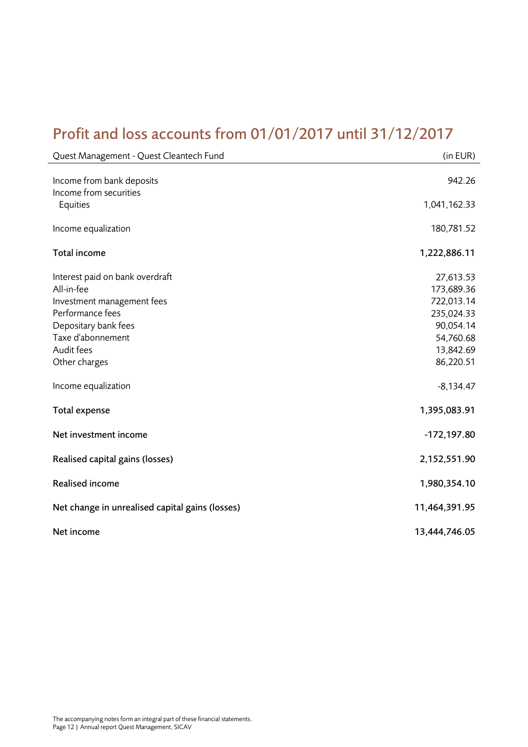### <span id="page-11-0"></span>Profit and loss accounts from 01/01/2017 until 31/12/2017

| Quest Management - Quest Cleantech Fund                                                         | (in EUR)                                            |
|-------------------------------------------------------------------------------------------------|-----------------------------------------------------|
| Income from bank deposits                                                                       | 942.26                                              |
| Income from securities<br>Equities                                                              | 1,041,162.33                                        |
| Income equalization                                                                             | 180,781.52                                          |
| Total income                                                                                    | 1,222,886.11                                        |
| Interest paid on bank overdraft<br>All-in-fee<br>Investment management fees<br>Performance fees | 27,613.53<br>173,689.36<br>722,013.14<br>235,024.33 |
| Depositary bank fees<br>Taxe d'abonnement                                                       | 90,054.14<br>54,760.68                              |
| Audit fees<br>Other charges                                                                     | 13,842.69<br>86,220.51                              |
| Income equalization                                                                             | $-8,134.47$                                         |
| <b>Total expense</b>                                                                            | 1,395,083.91                                        |
| Net investment income                                                                           | $-172,197.80$                                       |
| Realised capital gains (losses)                                                                 | 2,152,551.90                                        |
| Realised income                                                                                 | 1,980,354.10                                        |
| Net change in unrealised capital gains (losses)<br>Net income                                   | 11,464,391.95<br>13,444,746.05                      |
|                                                                                                 |                                                     |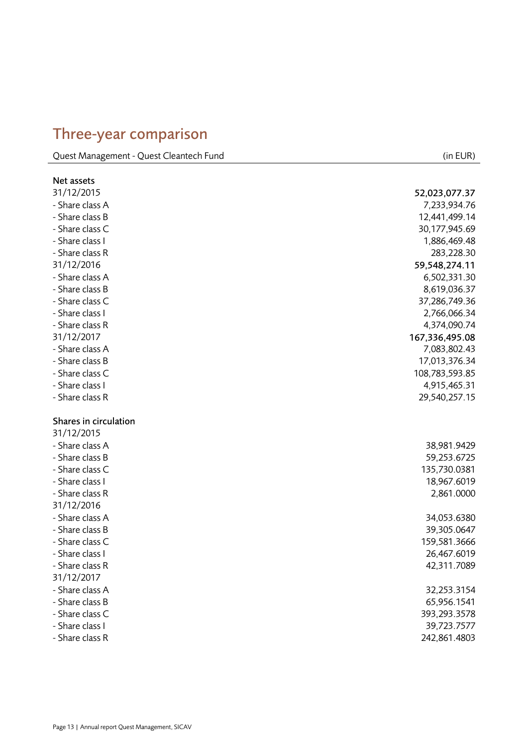### <span id="page-12-0"></span>Three -year comparison

Quest Management - Quest Cleantech Fund (in EUR)

| Net assets            |                |
|-----------------------|----------------|
| 31/12/2015            | 52,023,077.37  |
| - Share class A       | 7,233,934.76   |
| - Share class B       | 12,441,499.14  |
| - Share class C       | 30,177,945.69  |
| - Share class I       | 1,886,469.48   |
| - Share class R       | 283,228.30     |
| 31/12/2016            | 59,548,274.11  |
| - Share class A       | 6,502,331.30   |
| - Share class B       | 8,619,036.37   |
| - Share class C       | 37,286,749.36  |
| - Share class I       | 2,766,066.34   |
| - Share class R       | 4,374,090.74   |
| 31/12/2017            | 167,336,495.08 |
| - Share class A       | 7,083,802.43   |
| - Share class B       | 17,013,376.34  |
| - Share class C       | 108,783,593.85 |
| - Share class I       | 4,915,465.31   |
| - Share class R       | 29,540,257.15  |
|                       |                |
| Shares in circulation |                |
| 31/12/2015            |                |
| - Share class A       | 38,981.9429    |
| - Share class B       | 59,253.6725    |
| - Share class C       | 135,730.0381   |
| - Share class I       | 18,967.6019    |
| - Share class R       | 2,861.0000     |
| 31/12/2016            |                |
| - Share class A       | 34,053.6380    |
| - Share class B       | 39,305.0647    |
| - Share class C       | 159,581.3666   |
| - Share class I       | 26,467.6019    |
| - Share class R       | 42,311.7089    |
| 31/12/2017            |                |
| - Share class A       | 32,253.3154    |
| - Share class B       | 65,956.1541    |
| - Share class C       | 393,293.3578   |
| - Share class I       | 39,723.7577    |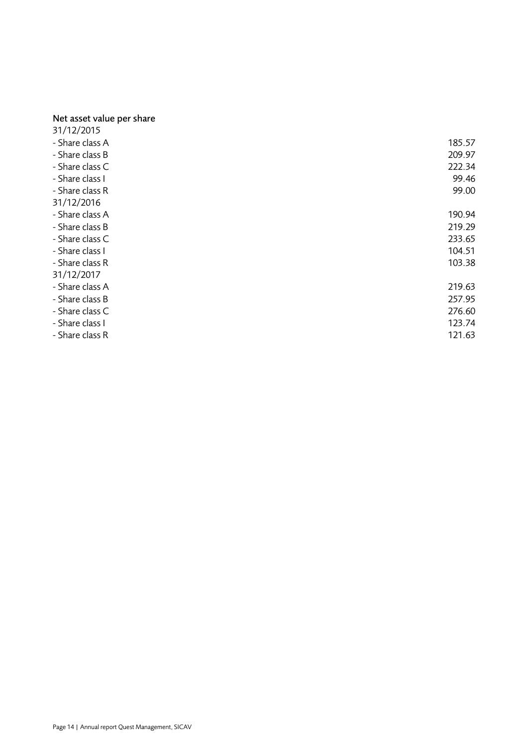#### Net asset value per share

| 31/12/2015      |        |
|-----------------|--------|
| - Share class A | 185.57 |
| - Share class B | 209.97 |
| - Share class C | 222.34 |
| - Share class I | 99.46  |
| - Share class R | 99.00  |
| 31/12/2016      |        |
| - Share class A | 190.94 |
| - Share class B | 219.29 |
| - Share class C | 233.65 |
| - Share class I | 104.51 |
| - Share class R | 103.38 |
| 31/12/2017      |        |
| - Share class A | 219.63 |
| - Share class B | 257.95 |
| - Share class C | 276.60 |
| - Share class I | 123.74 |
| - Share class R | 121.63 |
|                 |        |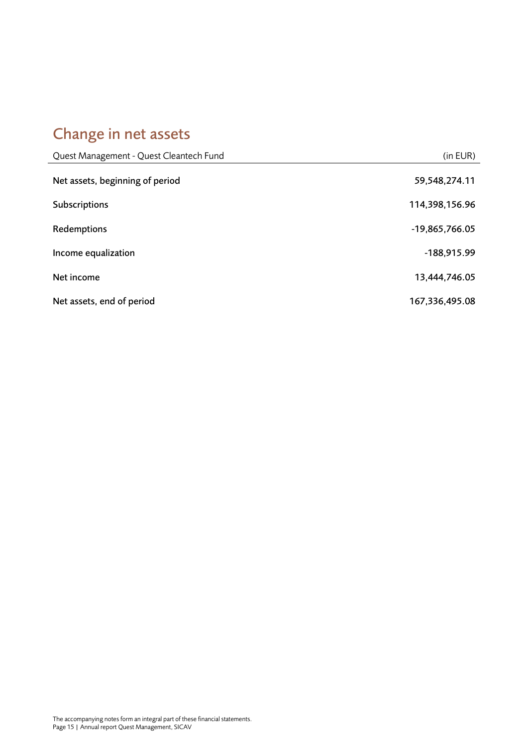# <span id="page-14-0"></span>Change in net assets

| Quest Management - Quest Cleantech Fund | (in EUR)       |
|-----------------------------------------|----------------|
| Net assets, beginning of period         | 59,548,274.11  |
| <b>Subscriptions</b>                    | 114,398,156.96 |
| Redemptions                             | -19,865,766.05 |
| Income equalization                     | $-188,915.99$  |
| Net income                              | 13,444,746.05  |
| Net assets, end of period               | 167,336,495.08 |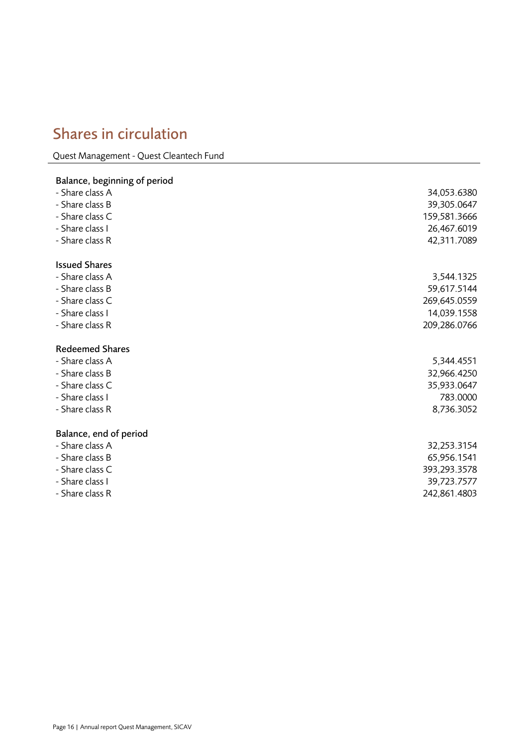### <span id="page-15-0"></span>Shares in circulation

Quest Management - Quest Cleantech Fund

### Balance, beginning of period - Share class A 34,053.6380 - Share class B 39,305.0647 - Share class C 159,581.3666 - Share class I 26,467.6019 - Share class R 42,311.7089 Issued Shares - Share class A 3,544.1325 - Share class B 59,617.5144 - Share class C 269,645.0559 - Share class I 14,039.1558 - Share class R 209,286.0766 Redeemed Shares - Share class A 5,344.4551 - Share class B 32,966.4250 - Share class C 35,933.0647 - Share class I 783.0000 - Share class R 8,736.3052 Balance, end of period - Share class A 32,253.3154 - Share class B 65,956.1541 - Share class C 393,293.3578 - Share class I 39,723.7577 - Share class R 242,861.4803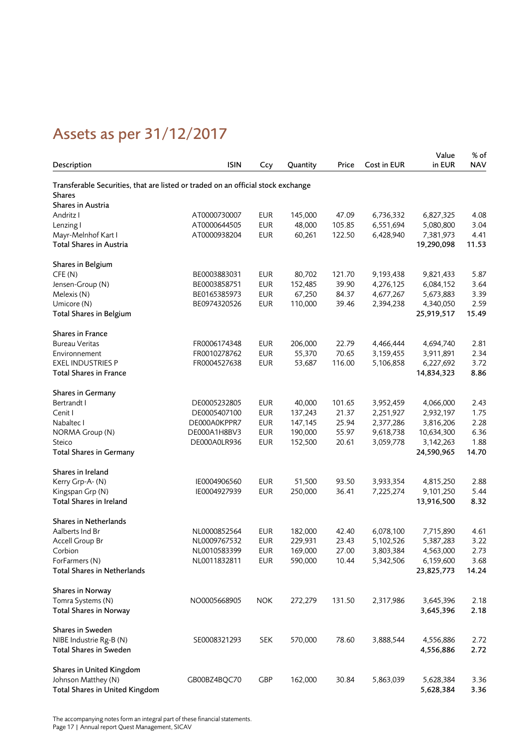# <span id="page-16-0"></span>Assets as per 31/12/2017

| Description                                                                                       | <b>ISIN</b>  | Ccy        | Quantity | Price  | Cost in EUR | Value<br>in EUR | % of<br><b>NAV</b> |
|---------------------------------------------------------------------------------------------------|--------------|------------|----------|--------|-------------|-----------------|--------------------|
|                                                                                                   |              |            |          |        |             |                 |                    |
| Transferable Securities, that are listed or traded on an official stock exchange<br><b>Shares</b> |              |            |          |        |             |                 |                    |
| Shares in Austria                                                                                 |              |            |          |        |             |                 |                    |
| Andritz I                                                                                         | AT0000730007 | <b>EUR</b> | 145,000  | 47.09  | 6,736,332   | 6,827,325       | 4.08               |
| Lenzing I                                                                                         | AT0000644505 | <b>EUR</b> | 48,000   | 105.85 | 6,551,694   | 5,080,800       | 3.04               |
| Mayr-Melnhof Kart I                                                                               | AT0000938204 | <b>EUR</b> | 60,261   | 122.50 | 6,428,940   | 7,381,973       | 4.41               |
| Total Shares in Austria                                                                           |              |            |          |        |             | 19,290,098      | 11.53              |
| Shares in Belgium                                                                                 |              |            |          |        |             |                 |                    |
| CFE(N)                                                                                            | BE0003883031 | <b>EUR</b> | 80,702   | 121.70 | 9,193,438   | 9,821,433       | 5.87               |
| Jensen-Group (N)                                                                                  | BE0003858751 | <b>EUR</b> | 152,485  | 39.90  | 4,276,125   | 6,084,152       | 3.64               |
| Melexis (N)                                                                                       | BE0165385973 | <b>EUR</b> | 67,250   | 84.37  | 4,677,267   | 5,673,883       | 3.39               |
| Umicore (N)                                                                                       | BE0974320526 | <b>EUR</b> | 110,000  | 39.46  | 2,394,238   | 4,340,050       | 2.59               |
| <b>Total Shares in Belgium</b>                                                                    |              |            |          |        |             | 25,919,517      | 15.49              |
| Shares in France                                                                                  |              |            |          |        |             |                 |                    |
| <b>Bureau Veritas</b>                                                                             | FR0006174348 | <b>EUR</b> | 206,000  | 22.79  | 4,466,444   | 4,694,740       | 2.81               |
| Environnement                                                                                     | FR0010278762 | <b>EUR</b> | 55,370   | 70.65  | 3,159,455   | 3,911,891       | 2.34               |
| <b>EXEL INDUSTRIES P</b>                                                                          | FR0004527638 | <b>EUR</b> | 53,687   | 116.00 | 5,106,858   | 6,227,692       | 3.72               |
| <b>Total Shares in France</b>                                                                     |              |            |          |        |             | 14,834,323      | 8.86               |
| <b>Shares in Germany</b>                                                                          |              |            |          |        |             |                 |                    |
| Bertrandt I                                                                                       | DE0005232805 | <b>EUR</b> | 40,000   | 101.65 | 3,952,459   | 4,066,000       | 2.43               |
| Cenit I                                                                                           | DE0005407100 | <b>EUR</b> | 137,243  | 21.37  | 2,251,927   | 2,932,197       | 1.75               |
| Nabaltec I                                                                                        | DE000A0KPPR7 | <b>EUR</b> | 147,145  | 25.94  | 2,377,286   | 3,816,206       | 2.28               |
| NORMA Group (N)                                                                                   | DE000A1H8BV3 | <b>EUR</b> | 190,000  | 55.97  | 9,618,738   | 10,634,300      | 6.36               |
| Steico                                                                                            | DE000A0LR936 | <b>EUR</b> | 152,500  | 20.61  | 3,059,778   | 3,142,263       | 1.88               |
| <b>Total Shares in Germany</b>                                                                    |              |            |          |        |             | 24,590,965      | 14.70              |
| Shares in Ireland                                                                                 |              |            |          |        |             |                 |                    |
| Kerry Grp-A- (N)                                                                                  | IE0004906560 | <b>EUR</b> | 51,500   | 93.50  | 3,933,354   | 4,815,250       | 2.88               |
| Kingspan Grp (N)                                                                                  | IE0004927939 | <b>EUR</b> | 250,000  | 36.41  | 7,225,274   | 9,101,250       | 5.44               |
| Total Shares in Ireland                                                                           |              |            |          |        |             | 13,916,500      | 8.32               |
| Shares in Netherlands                                                                             |              |            |          |        |             |                 |                    |
| Aalberts Ind Br                                                                                   | NL0000852564 | EUR        | 182,000  | 42.40  | 6,078,100   | 7,715,890       | 4.61               |
| Accell Group Br                                                                                   | NL0009767532 | <b>EUR</b> | 229,931  | 23.43  | 5,102,526   | 5,387,283       | 3.22               |
| Corbion                                                                                           | NL0010583399 | <b>EUR</b> | 169,000  | 27.00  | 3,803,384   | 4,563,000       | 2.73               |
| ForFarmers (N)                                                                                    | NL0011832811 | <b>EUR</b> | 590,000  | 10.44  | 5,342,506   | 6,159,600       | 3.68               |
| Total Shares in Netherlands                                                                       |              |            |          |        |             | 23,825,773      | 14.24              |
| Shares in Norway                                                                                  |              |            |          |        |             |                 |                    |
| Tomra Systems (N)                                                                                 | NO0005668905 | <b>NOK</b> | 272,279  | 131.50 | 2,317,986   | 3,645,396       | 2.18               |
| <b>Total Shares in Norway</b>                                                                     |              |            |          |        |             | 3,645,396       | 2.18               |
| Shares in Sweden                                                                                  |              |            |          |        |             |                 |                    |
| NIBE Industrie Rg-B (N)                                                                           | SE0008321293 | <b>SEK</b> | 570,000  | 78.60  | 3,888,544   | 4,556,886       | 2.72               |
| Total Shares in Sweden                                                                            |              |            |          |        |             | 4,556,886       | 2.72               |
| Shares in United Kingdom                                                                          |              |            |          |        |             |                 |                    |
| Johnson Matthey (N)                                                                               | GB00BZ4BQC70 | <b>GBP</b> | 162,000  | 30.84  | 5,863,039   | 5,628,384       | 3.36               |
| Total Shares in United Kingdom                                                                    |              |            |          |        |             | 5,628,384       | 3.36               |

The accompanying notes form an integral part of these financial statements. Page 17 | Annual report Quest Management, SICAV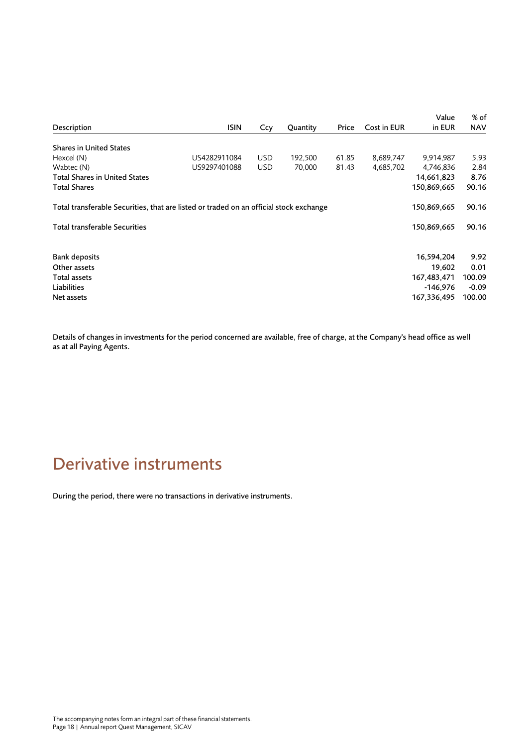|                                                                                        |              |            |          |       |             | Value       | % of       |
|----------------------------------------------------------------------------------------|--------------|------------|----------|-------|-------------|-------------|------------|
| Description                                                                            | <b>ISIN</b>  | Ccy        | Quantity | Price | Cost in EUR | in EUR      | <b>NAV</b> |
| <b>Shares in United States</b>                                                         |              |            |          |       |             |             |            |
|                                                                                        |              |            |          |       |             |             |            |
| Hexcel (N)                                                                             | US4282911084 | <b>USD</b> | 192,500  | 61.85 | 8,689,747   | 9.914.987   | 5.93       |
| Wabtec (N)                                                                             | US9297401088 | <b>USD</b> | 70,000   | 81.43 | 4,685,702   | 4,746,836   | 2.84       |
| Total Shares in United States                                                          |              |            |          |       |             | 14,661,823  | 8.76       |
| <b>Total Shares</b>                                                                    |              |            |          |       |             | 150,869,665 | 90.16      |
| Total transferable Securities, that are listed or traded on an official stock exchange |              |            |          |       |             | 150,869,665 | 90.16      |
| <b>Total transferable Securities</b>                                                   |              |            |          |       |             | 150,869,665 | 90.16      |
| <b>Bank deposits</b>                                                                   |              |            |          |       |             | 16,594,204  | 9.92       |
| Other assets                                                                           |              |            |          |       |             | 19,602      | 0.01       |
| Total assets                                                                           |              |            |          |       |             | 167,483,471 | 100.09     |
| Liabilities                                                                            |              |            |          |       |             | -146,976    | $-0.09$    |
|                                                                                        |              |            |          |       |             |             |            |
| Net assets                                                                             |              |            |          |       |             | 167,336,495 | 100.00     |

Details of changes in investments for the period concerned are available, free of charge, at the Company's head office as well as at all Paying Agents.

### <span id="page-17-0"></span>Derivative instruments

During the period, there were no transactions in derivative instruments.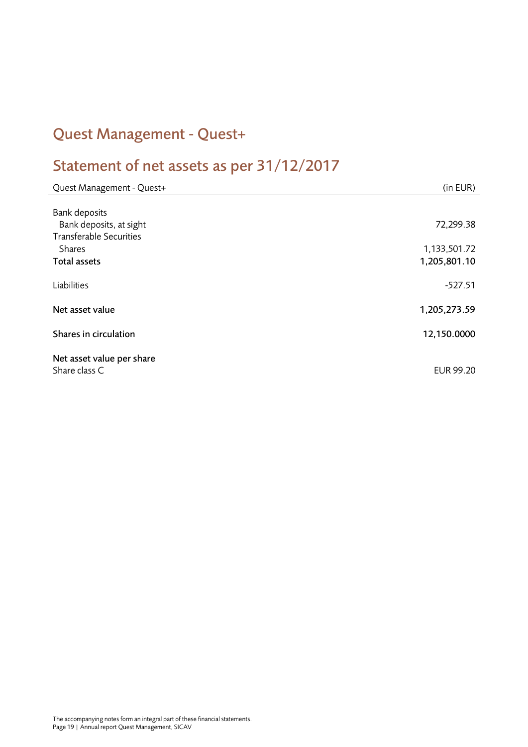### <span id="page-18-0"></span>Quest Management - Quest+

# <span id="page-18-1"></span>Statement of net assets as per 31/12/2017

| Quest Management - Quest+                                 | (in EUR)     |
|-----------------------------------------------------------|--------------|
|                                                           |              |
| <b>Bank deposits</b>                                      |              |
| Bank deposits, at sight<br><b>Transferable Securities</b> | 72,299.38    |
| <b>Shares</b>                                             | 1,133,501.72 |
| <b>Total assets</b>                                       | 1,205,801.10 |
|                                                           |              |
| Liabilities                                               | $-527.51$    |
|                                                           |              |
| Net asset value                                           | 1,205,273.59 |
| Shares in circulation                                     | 12,150.0000  |
|                                                           |              |
| Net asset value per share                                 |              |
| Share class C                                             | EUR 99.20    |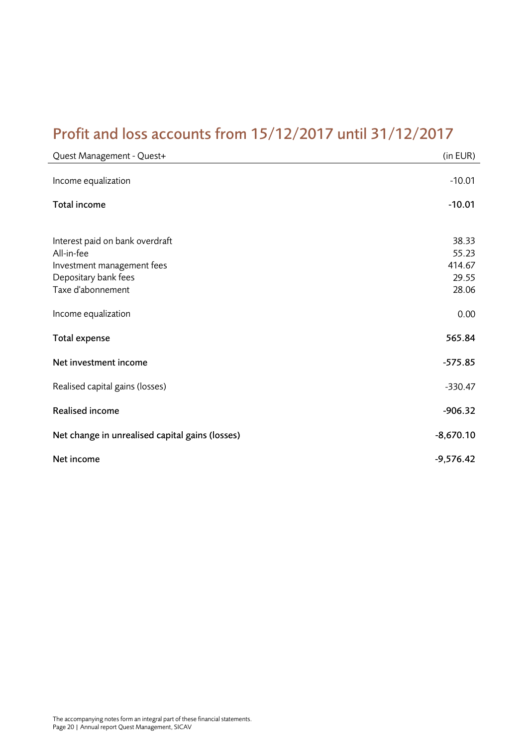### <span id="page-19-0"></span>Profit and loss accounts from 15/12/2017 until 31/12/2017

| Quest Management - Quest+                       | (in EUR)       |
|-------------------------------------------------|----------------|
| Income equalization                             | $-10.01$       |
| Total income                                    | $-10.01$       |
| Interest paid on bank overdraft<br>All-in-fee   | 38.33<br>55.23 |
| Investment management fees                      | 414.67         |
| Depositary bank fees                            | 29.55          |
| Taxe d'abonnement                               | 28.06          |
| Income equalization                             | 0.00           |
| Total expense                                   | 565.84         |
| Net investment income                           | $-575.85$      |
| Realised capital gains (losses)                 | $-330.47$      |
| Realised income                                 | $-906.32$      |
| Net change in unrealised capital gains (losses) | $-8,670.10$    |
| Net income                                      | $-9,576.42$    |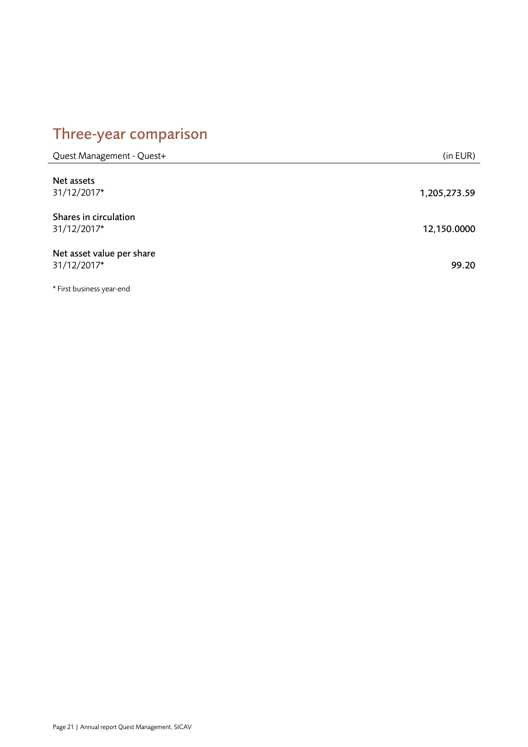# <span id="page-20-0"></span>Three-year comparison

| Quest Management - Quest+                | (in EUR)     |
|------------------------------------------|--------------|
| Net assets<br>31/12/2017*                | 1,205,273.59 |
| Shares in circulation<br>31/12/2017*     | 12,150.0000  |
| Net asset value per share<br>31/12/2017* | 99.20        |

\* First business year-end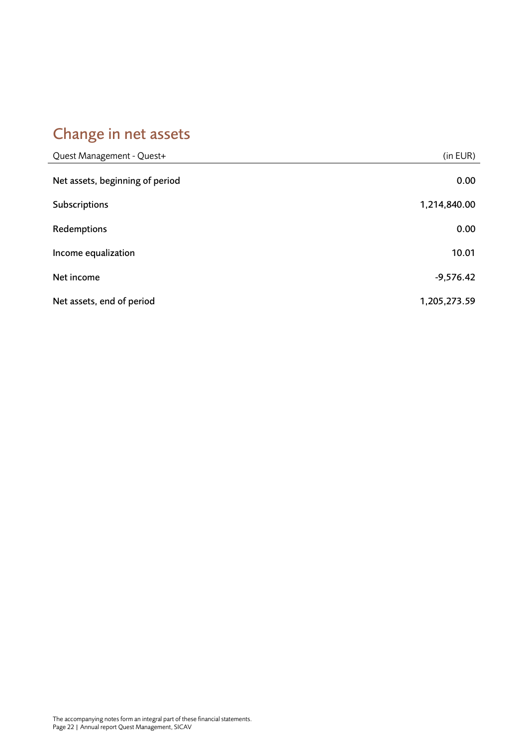# <span id="page-21-0"></span>Change in net assets

| Quest Management - Quest+       | (in EUR)     |
|---------------------------------|--------------|
| Net assets, beginning of period | 0.00         |
| Subscriptions                   | 1,214,840.00 |
| Redemptions                     | 0.00         |
| Income equalization             | 10.01        |
| Net income                      | $-9,576.42$  |
| Net assets, end of period       | 1,205,273.59 |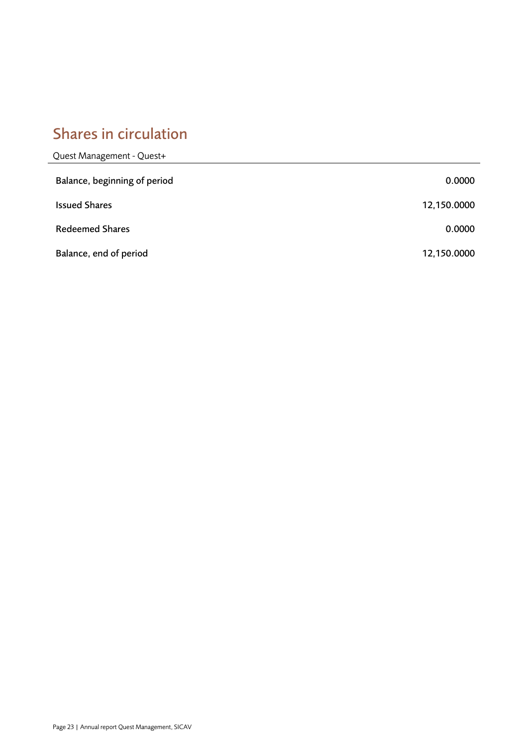### <span id="page-22-0"></span>Shares in circulation

| Quest Management - Quest+    |             |
|------------------------------|-------------|
| Balance, beginning of period | 0.0000      |
| <b>Issued Shares</b>         | 12,150.0000 |
| <b>Redeemed Shares</b>       | 0.0000      |
| Balance, end of period       | 12,150.0000 |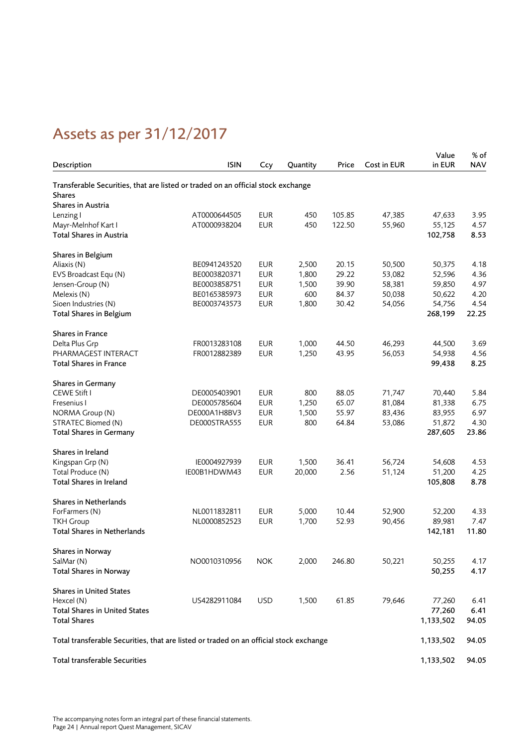# <span id="page-23-0"></span>Assets as per 31/12/2017

|                                                                                        |              |            |          |        |             | Value     | % of       |
|----------------------------------------------------------------------------------------|--------------|------------|----------|--------|-------------|-----------|------------|
| Description                                                                            | <b>ISIN</b>  | Ccy        | Quantity | Price  | Cost in EUR | in EUR    | <b>NAV</b> |
| Transferable Securities, that are listed or traded on an official stock exchange       |              |            |          |        |             |           |            |
| <b>Shares</b>                                                                          |              |            |          |        |             |           |            |
| Shares in Austria                                                                      |              |            |          |        |             |           |            |
| Lenzing I                                                                              | AT0000644505 | <b>EUR</b> | 450      | 105.85 | 47,385      | 47,633    | 3.95       |
| Mayr-Melnhof Kart I                                                                    | AT0000938204 | <b>EUR</b> | 450      | 122.50 | 55,960      | 55,125    | 4.57       |
| Total Shares in Austria                                                                |              |            |          |        |             | 102,758   | 8.53       |
| Shares in Belgium                                                                      |              |            |          |        |             |           |            |
| Aliaxis (N)                                                                            | BE0941243520 | <b>EUR</b> | 2,500    | 20.15  | 50,500      | 50,375    | 4.18       |
| EVS Broadcast Equ (N)                                                                  | BE0003820371 | <b>EUR</b> | 1,800    | 29.22  | 53,082      | 52,596    | 4.36       |
| Jensen-Group (N)                                                                       | BE0003858751 | <b>EUR</b> | 1,500    | 39.90  | 58,381      | 59,850    | 4.97       |
| Melexis (N)                                                                            | BE0165385973 | <b>EUR</b> | 600      | 84.37  | 50,038      | 50,622    | 4.20       |
| Sioen Industries (N)                                                                   | BE0003743573 | <b>EUR</b> | 1,800    | 30.42  | 54,056      | 54,756    | 4.54       |
| Total Shares in Belgium                                                                |              |            |          |        |             | 268,199   | 22.25      |
| <b>Shares in France</b>                                                                |              |            |          |        |             |           |            |
| Delta Plus Grp                                                                         | FR0013283108 | <b>EUR</b> | 1,000    | 44.50  | 46,293      | 44,500    | 3.69       |
| PHARMAGEST INTERACT                                                                    | FR0012882389 | <b>EUR</b> | 1,250    | 43.95  | 56,053      | 54,938    | 4.56       |
| <b>Total Shares in France</b>                                                          |              |            |          |        |             | 99,438    | 8.25       |
| Shares in Germany                                                                      |              |            |          |        |             |           |            |
| CEWE Stift I                                                                           | DE0005403901 | <b>EUR</b> | 800      | 88.05  | 71,747      | 70,440    | 5.84       |
| Fresenius I                                                                            | DE0005785604 | <b>EUR</b> | 1,250    | 65.07  | 81,084      | 81,338    | 6.75       |
| NORMA Group (N)                                                                        | DE000A1H8BV3 | <b>EUR</b> | 1,500    | 55.97  | 83,436      | 83,955    | 6.97       |
| STRATEC Biomed (N)                                                                     | DE000STRA555 | <b>EUR</b> | 800      | 64.84  | 53,086      | 51,872    | 4.30       |
| <b>Total Shares in Germany</b>                                                         |              |            |          |        |             | 287,605   | 23.86      |
| Shares in Ireland                                                                      |              |            |          |        |             |           |            |
| Kingspan Grp (N)                                                                       | IE0004927939 | <b>EUR</b> | 1,500    | 36.41  | 56,724      | 54,608    | 4.53       |
| Total Produce (N)                                                                      | IE00B1HDWM43 | <b>EUR</b> | 20,000   | 2.56   | 51,124      | 51,200    | 4.25       |
| Total Shares in Ireland                                                                |              |            |          |        |             | 105,808   | 8.78       |
| <b>Shares in Netherlands</b>                                                           |              |            |          |        |             |           |            |
| ForFarmers (N)                                                                         | NL0011832811 | <b>EUR</b> | 5,000    | 10.44  | 52,900      | 52,200    | 4.33       |
| <b>TKH Group</b>                                                                       | NL0000852523 | <b>EUR</b> | 1,700    | 52.93  | 90,456      | 89,981    | 7.47       |
| <b>Total Shares in Netherlands</b>                                                     |              |            |          |        |             | 142,181   | 11.80      |
| Shares in Norway                                                                       |              |            |          |        |             |           |            |
| SalMar (N)                                                                             | NO0010310956 | <b>NOK</b> | 2,000    | 246.80 | 50,221      | 50,255    | 4.17       |
| <b>Total Shares in Norway</b>                                                          |              |            |          |        |             | 50,255    | 4.17       |
| <b>Shares in United States</b>                                                         |              |            |          |        |             |           |            |
| Hexcel (N)                                                                             | US4282911084 | <b>USD</b> | 1,500    | 61.85  | 79,646      | 77,260    | 6.41       |
| <b>Total Shares in United States</b>                                                   |              |            |          |        |             | 77,260    | 6.41       |
| <b>Total Shares</b>                                                                    |              |            |          |        |             | 1,133,502 | 94.05      |
| Total transferable Securities, that are listed or traded on an official stock exchange |              |            |          |        |             | 1,133,502 | 94.05      |
| Total transferable Securities                                                          |              |            |          |        |             | 1,133,502 | 94.05      |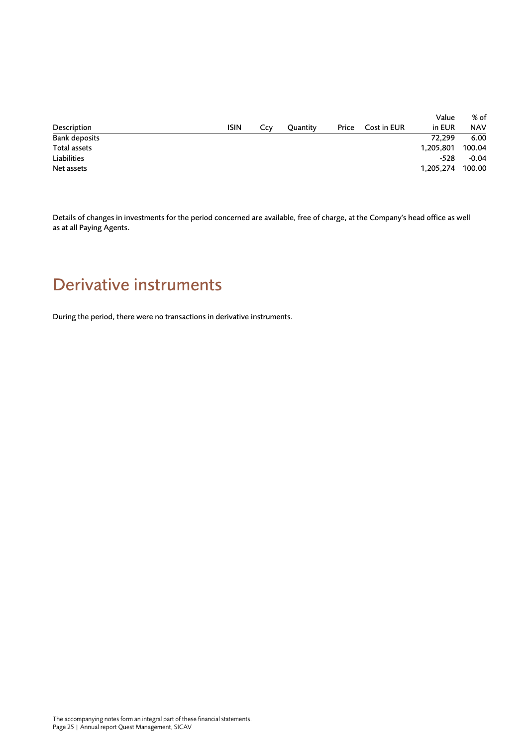|                      |             |     |          |       |             | Value     | % of       |
|----------------------|-------------|-----|----------|-------|-------------|-----------|------------|
| Description          | <b>ISIN</b> | Ccv | Quantity | Price | Cost in EUR | in EUR    | <b>NAV</b> |
| <b>Bank deposits</b> |             |     |          |       |             | 72.299    | 6.00       |
| Total assets         |             |     |          |       |             | 1,205,801 | 100.04     |
| Liabilities          |             |     |          |       |             | -528      | $-0.04$    |
| Net assets           |             |     |          |       |             | 1,205,274 | 100.00     |

Details of changes in investments for the period concerned are available, free of charge, at the Company's head office as well as at all Paying Agents.

### <span id="page-24-0"></span>Derivative instruments

During the period, there were no transactions in derivative instruments.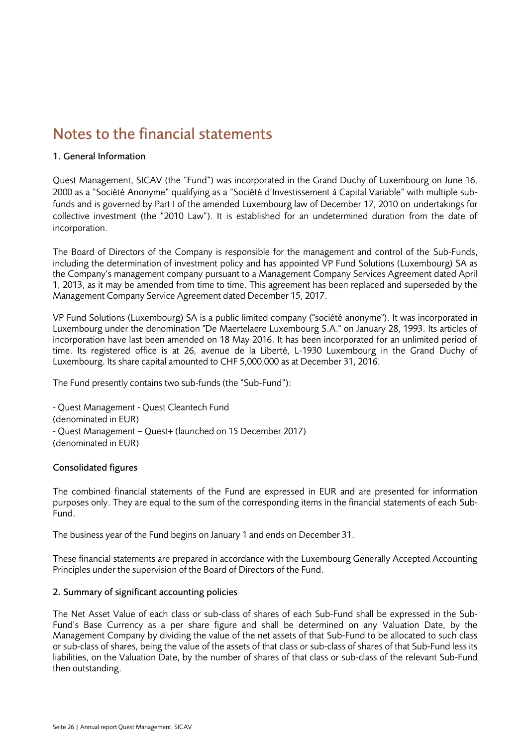### <span id="page-25-0"></span>Notes to the financial statements

### 1. General Information

Quest Management, SICAV (the "Fund") was incorporated in the Grand Duchy of Luxembourg on June 16, 2000 as a "Société Anonyme" qualifying as a "Société d'Investissement à Capital Variable" with multiple subfunds and is governed by Part I of the amended Luxembourg law of December 17, 2010 on undertakings for collective investment (the "2010 Law"). It is established for an undetermined duration from the date of incorporation.

The Board of Directors of the Company is responsible for the management and control of the Sub-Funds, including the determination of investment policy and has appointed VP Fund Solutions (Luxembourg) SA as the Company's management company pursuant to a Management Company Services Agreement dated April 1, 2013, as it may be amended from time to time. This agreement has been replaced and superseded by the Management Company Service Agreement dated December 15, 2017.

VP Fund Solutions (Luxembourg) SA is a public limited company ("société anonyme"). It was incorporated in Luxembourg under the denomination "De Maertelaere Luxembourg S.A." on January 28, 1993. Its articles of incorporation have last been amended on 18 May 2016. It has been incorporated for an unlimited period of time. Its registered office is at 26, avenue de la Liberté, L-1930 Luxembourg in the Grand Duchy of Luxembourg. Its share capital amounted to CHF 5,000,000 as at December 31, 2016.

The Fund presently contains two sub-funds (the "Sub-Fund"):

- Quest Management - Quest Cleantech Fund (denominated in EUR) - Quest Management – Quest+ (launched on 15 December 2017) (denominated in EUR)

### Consolidated figures

The combined financial statements of the Fund are expressed in EUR and are presented for information purposes only. They are equal to the sum of the corresponding items in the financial statements of each Sub-Fund.

The business year of the Fund begins on January 1 and ends on December 31.

These financial statements are prepared in accordance with the Luxembourg Generally Accepted Accounting Principles under the supervision of the Board of Directors of the Fund.

### 2. Summary of significant accounting policies

The Net Asset Value of each class or sub-class of shares of each Sub-Fund shall be expressed in the Sub-Fund's Base Currency as a per share figure and shall be determined on any Valuation Date, by the Management Company by dividing the value of the net assets of that Sub-Fund to be allocated to such class or sub-class of shares, being the value of the assets of that class or sub-class of shares of that Sub-Fund less its liabilities, on the Valuation Date, by the number of shares of that class or sub-class of the relevant Sub-Fund then outstanding.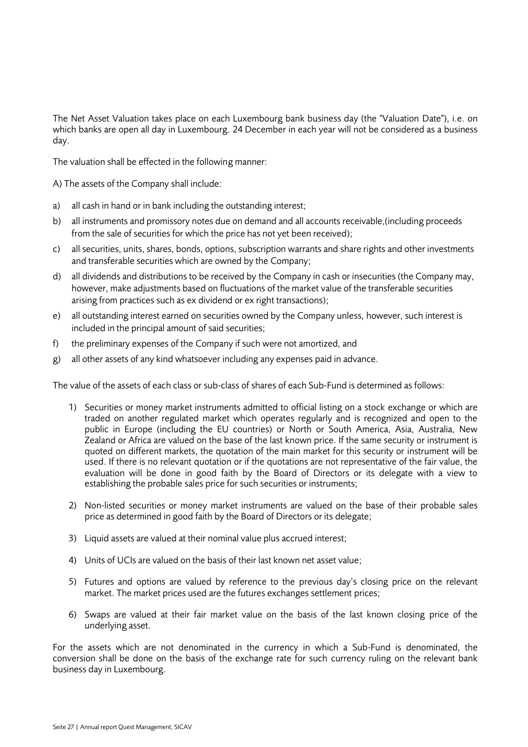The Net Asset Valuation takes place on each Luxembourg bank business day (the "Valuation Date"), i.e. on which banks are open all day in Luxembourg. 24 December in each year will not be considered as a business day.

The valuation shall be effected in the following manner:

A) The assets of the Company shall include:

- a) all cash in hand or in bank including the outstanding interest;
- b) all instruments and promissory notes due on demand and all accounts receivable,(including proceeds from the sale of securities for which the price has not yet been received);
- c) all securities, units, shares, bonds, options, subscription warrants and share rights and other investments and transferable securities which are owned by the Company;
- d) all dividends and distributions to be received by the Company in cash or insecurities (the Company may, however, make adjustments based on fluctuations of the market value of the transferable securities arising from practices such as ex dividend or ex right transactions);
- e) all outstanding interest earned on securities owned by the Company unless, however, such interest is included in the principal amount of said securities;
- f) the preliminary expenses of the Company if such were not amortized, and
- g) all other assets of any kind whatsoever including any expenses paid in advance.

The value of the assets of each class or sub-class of shares of each Sub-Fund is determined as follows:

- 1) Securities or money market instruments admitted to official listing on a stock exchange or which are traded on another regulated market which operates regularly and is recognized and open to the public in Europe (including the EU countries) or North or South America, Asia, Australia, New Zealand or Africa are valued on the base of the last known price. If the same security or instrument is quoted on different markets, the quotation of the main market for this security or instrument will be used. If there is no relevant quotation or if the quotations are not representative of the fair value, the evaluation will be done in good faith by the Board of Directors or its delegate with a view to establishing the probable sales price for such securities or instruments;
- 2) Non-listed securities or money market instruments are valued on the base of their probable sales price as determined in good faith by the Board of Directors or its delegate;
- 3) Liquid assets are valued at their nominal value plus accrued interest;
- 4) Units of UCIs are valued on the basis of their last known net asset value;
- 5) Futures and options are valued by reference to the previous day's closing price on the relevant market. The market prices used are the futures exchanges settlement prices;
- 6) Swaps are valued at their fair market value on the basis of the last known closing price of the underlying asset.

For the assets which are not denominated in the currency in which a Sub-Fund is denominated, the conversion shall be done on the basis of the exchange rate for such currency ruling on the relevant bank business day in Luxembourg.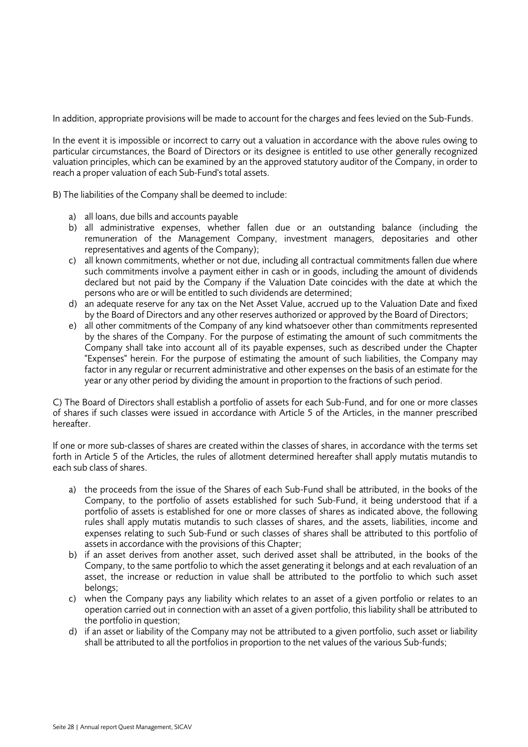In addition, appropriate provisions will be made to account for the charges and fees levied on the Sub-Funds.

In the event it is impossible or incorrect to carry out a valuation in accordance with the above rules owing to particular circumstances, the Board of Directors or its designee is entitled to use other generally recognized valuation principles, which can be examined by an the approved statutory auditor of the Company, in order to reach a proper valuation of each Sub-Fund's total assets.

B) The liabilities of the Company shall be deemed to include:

- a) all loans, due bills and accounts payable
- b) all administrative expenses, whether fallen due or an outstanding balance (including the remuneration of the Management Company, investment managers, depositaries and other representatives and agents of the Company);
- c) all known commitments, whether or not due, including all contractual commitments fallen due where such commitments involve a payment either in cash or in goods, including the amount of dividends declared but not paid by the Company if the Valuation Date coincides with the date at which the persons who are or will be entitled to such dividends are determined;
- d) an adequate reserve for any tax on the Net Asset Value, accrued up to the Valuation Date and fixed by the Board of Directors and any other reserves authorized or approved by the Board of Directors;
- e) all other commitments of the Company of any kind whatsoever other than commitments represented by the shares of the Company. For the purpose of estimating the amount of such commitments the Company shall take into account all of its payable expenses, such as described under the Chapter "Expenses" herein. For the purpose of estimating the amount of such liabilities, the Company may factor in any regular or recurrent administrative and other expenses on the basis of an estimate for the year or any other period by dividing the amount in proportion to the fractions of such period.

C) The Board of Directors shall establish a portfolio of assets for each Sub-Fund, and for one or more classes of shares if such classes were issued in accordance with Article 5 of the Articles, in the manner prescribed hereafter.

If one or more sub-classes of shares are created within the classes of shares, in accordance with the terms set forth in Article 5 of the Articles, the rules of allotment determined hereafter shall apply mutatis mutandis to each sub class of shares.

- a) the proceeds from the issue of the Shares of each Sub-Fund shall be attributed, in the books of the Company, to the portfolio of assets established for such Sub-Fund, it being understood that if a portfolio of assets is established for one or more classes of shares as indicated above, the following rules shall apply mutatis mutandis to such classes of shares, and the assets, liabilities, income and expenses relating to such Sub-Fund or such classes of shares shall be attributed to this portfolio of assets in accordance with the provisions of this Chapter;
- b) if an asset derives from another asset, such derived asset shall be attributed, in the books of the Company, to the same portfolio to which the asset generating it belongs and at each revaluation of an asset, the increase or reduction in value shall be attributed to the portfolio to which such asset belongs;
- c) when the Company pays any liability which relates to an asset of a given portfolio or relates to an operation carried out in connection with an asset of a given portfolio, this liability shall be attributed to the portfolio in question;
- d) if an asset or liability of the Company may not be attributed to a given portfolio, such asset or liability shall be attributed to all the portfolios in proportion to the net values of the various Sub-funds;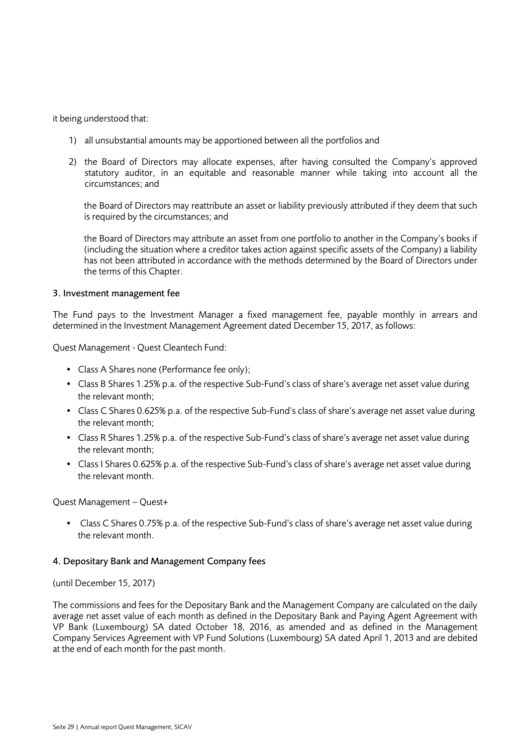it being understood that:

- 1) all unsubstantial amounts may be apportioned between all the portfolios and
- 2) the Board of Directors may allocate expenses, after having consulted the Company's approved statutory auditor, in an equitable and reasonable manner while taking into account all the circumstances; and

the Board of Directors may reattribute an asset or liability previously attributed if they deem that such is required by the circumstances; and

the Board of Directors may attribute an asset from one portfolio to another in the Company's books if (including the situation where a creditor takes action against specific assets of the Company) a liability has not been attributed in accordance with the methods determined by the Board of Directors under the terms of this Chapter.

### 3. Investment management fee

The Fund pays to the Investment Manager a fixed management fee, payable monthly in arrears and determined in the Investment Management Agreement dated December 15, 2017, as follows:

Quest Management - Quest Cleantech Fund:

- Class A Shares none (Performance fee only);
- Class B Shares 1.25% p.a. of the respective Sub-Fund's class of share's average net asset value during the relevant month;
- Class C Shares 0.625% p.a. of the respective Sub-Fund's class of share's average net asset value during the relevant month;
- Class R Shares 1.25% p.a. of the respective Sub-Fund's class of share's average net asset value during the relevant month;
- Class I Shares 0.625% p.a. of the respective Sub-Fund's class of share's average net asset value during the relevant month.

Quest Management – Quest+

• Class C Shares 0.75% p.a. of the respective Sub-Fund's class of share's average net asset value during the relevant month.

### 4. Depositary Bank and Management Company fees

#### (until December 15, 2017)

The commissions and fees for the Depositary Bank and the Management Company are calculated on the daily average net asset value of each month as defined in the Depositary Bank and Paying Agent Agreement with VP Bank (Luxembourg) SA dated October 18, 2016, as amended and as defined in the Management Company Services Agreement with VP Fund Solutions (Luxembourg) SA dated April 1, 2013 and are debited at the end of each month for the past month.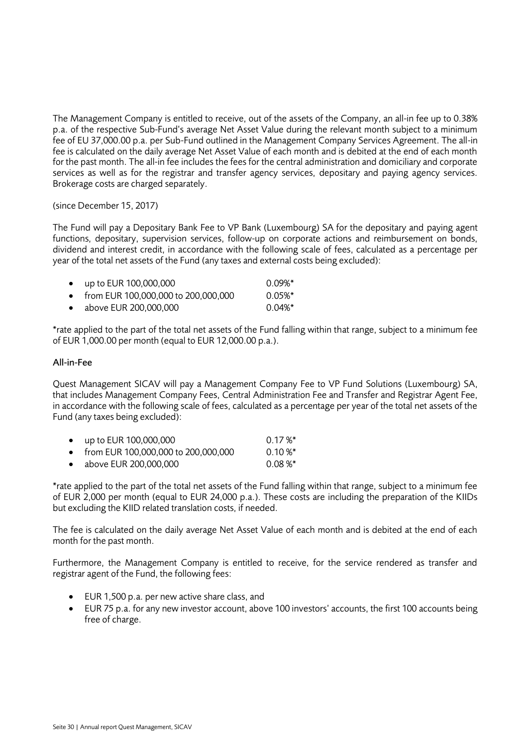The Management Company is entitled to receive, out of the assets of the Company, an all-in fee up to 0.38% p.a. of the respective Sub-Fund's average Net Asset Value during the relevant month subject to a minimum fee of EU 37,000.00 p.a. per Sub-Fund outlined in the Management Company Services Agreement. The all-in fee is calculated on the daily average Net Asset Value of each month and is debited at the end of each month for the past month. The all-in fee includes the fees for the central administration and domiciliary and corporate services as well as for the registrar and transfer agency services, depositary and paying agency services. Brokerage costs are charged separately.

(since December 15, 2017)

The Fund will pay a Depositary Bank Fee to VP Bank (Luxembourg) SA for the depositary and paying agent functions, depositary, supervision services, follow-up on corporate actions and reimbursement on bonds, dividend and interest credit, in accordance with the following scale of fees, calculated as a percentage per year of the total net assets of the Fund (any taxes and external costs being excluded):

|           | • up to EUR 100,000,000               | $0.09\%$ * |
|-----------|---------------------------------------|------------|
|           | • from EUR 100,000,000 to 200,000,000 | $0.05\%$ * |
| $\bullet$ | above EUR 200,000,000                 | $0.04\%$ * |

\*rate applied to the part of the total net assets of the Fund falling within that range, subject to a minimum fee of EUR 1,000.00 per month (equal to EUR 12,000.00 p.a.).

### All-in-Fee

Quest Management SICAV will pay a Management Company Fee to VP Fund Solutions (Luxembourg) SA, that includes Management Company Fees, Central Administration Fee and Transfer and Registrar Agent Fee, in accordance with the following scale of fees, calculated as a percentage per year of the total net assets of the Fund (any taxes being excluded):

| $\bullet$ | up to EUR 100,000,000                 | $0.17\%$ * |
|-----------|---------------------------------------|------------|
|           | • from EUR 100,000,000 to 200,000,000 | $0.10 \%$  |
|           | • above EUR 200,000,000               | $0.08 \%$  |

\*rate applied to the part of the total net assets of the Fund falling within that range, subject to a minimum fee of EUR 2,000 per month (equal to EUR 24,000 p.a.). These costs are including the preparation of the KIIDs but excluding the KIID related translation costs, if needed.

The fee is calculated on the daily average Net Asset Value of each month and is debited at the end of each month for the past month.

Furthermore, the Management Company is entitled to receive, for the service rendered as transfer and registrar agent of the Fund, the following fees:

- EUR 1,500 p.a. per new active share class, and
- EUR 75 p.a. for any new investor account, above 100 investors' accounts, the first 100 accounts being free of charge.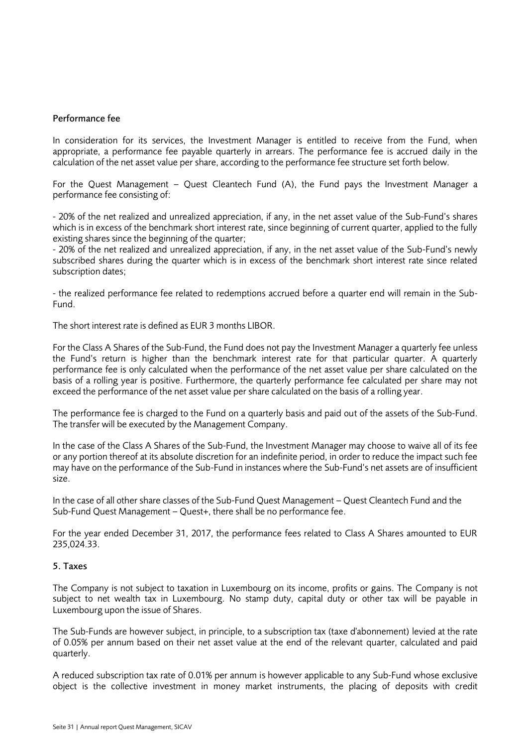#### Performance fee

In consideration for its services, the Investment Manager is entitled to receive from the Fund, when appropriate, a performance fee payable quarterly in arrears. The performance fee is accrued daily in the calculation of the net asset value per share, according to the performance fee structure set forth below.

For the Quest Management – Quest Cleantech Fund (A), the Fund pays the Investment Manager a performance fee consisting of:

- 20% of the net realized and unrealized appreciation, if any, in the net asset value of the Sub-Fund's shares which is in excess of the benchmark short interest rate, since beginning of current quarter, applied to the fully existing shares since the beginning of the quarter;

- 20% of the net realized and unrealized appreciation, if any, in the net asset value of the Sub-Fund's newly subscribed shares during the quarter which is in excess of the benchmark short interest rate since related subscription dates;

- the realized performance fee related to redemptions accrued before a quarter end will remain in the Sub-Fund.

The short interest rate is defined as EUR 3 months LIBOR.

For the Class A Shares of the Sub-Fund, the Fund does not pay the Investment Manager a quarterly fee unless the Fund's return is higher than the benchmark interest rate for that particular quarter. A quarterly performance fee is only calculated when the performance of the net asset value per share calculated on the basis of a rolling year is positive. Furthermore, the quarterly performance fee calculated per share may not exceed the performance of the net asset value per share calculated on the basis of a rolling year.

The performance fee is charged to the Fund on a quarterly basis and paid out of the assets of the Sub-Fund. The transfer will be executed by the Management Company.

In the case of the Class A Shares of the Sub-Fund, the Investment Manager may choose to waive all of its fee or any portion thereof at its absolute discretion for an indefinite period, in order to reduce the impact such fee may have on the performance of the Sub-Fund in instances where the Sub-Fund's net assets are of insufficient size.

In the case of all other share classes of the Sub-Fund Quest Management – Quest Cleantech Fund and the Sub-Fund Quest Management – Quest+, there shall be no performance fee.

For the year ended December 31, 2017, the performance fees related to Class A Shares amounted to EUR 235,024.33.

#### 5. Taxes

The Company is not subject to taxation in Luxembourg on its income, profits or gains. The Company is not subject to net wealth tax in Luxembourg. No stamp duty, capital duty or other tax will be payable in Luxembourg upon the issue of Shares.

The Sub-Funds are however subject, in principle, to a subscription tax (taxe d'abonnement) levied at the rate of 0.05% per annum based on their net asset value at the end of the relevant quarter, calculated and paid quarterly.

A reduced subscription tax rate of 0.01% per annum is however applicable to any Sub-Fund whose exclusive object is the collective investment in money market instruments, the placing of deposits with credit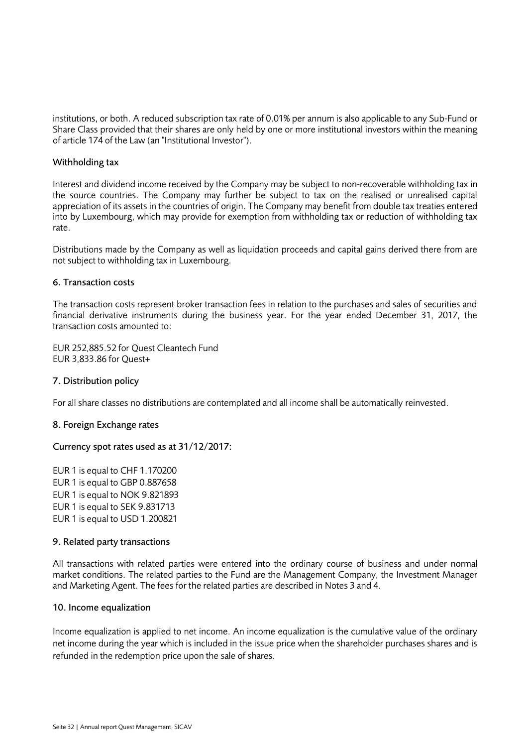institutions, or both. A reduced subscription tax rate of 0.01% per annum is also applicable to any Sub-Fund or Share Class provided that their shares are only held by one or more institutional investors within the meaning of article 174 of the Law (an "Institutional Investor").

### Withholding tax

Interest and dividend income received by the Company may be subject to non-recoverable withholding tax in the source countries. The Company may further be subject to tax on the realised or unrealised capital appreciation of its assets in the countries of origin. The Company may benefit from double tax treaties entered into by Luxembourg, which may provide for exemption from withholding tax or reduction of withholding tax rate.

Distributions made by the Company as well as liquidation proceeds and capital gains derived there from are not subject to withholding tax in Luxembourg.

### 6. Transaction costs

The transaction costs represent broker transaction fees in relation to the purchases and sales of securities and financial derivative instruments during the business year. For the year ended December 31, 2017, the transaction costs amounted to:

EUR 252,885.52 for Quest Cleantech Fund EUR 3,833.86 for Quest+

### 7. Distribution policy

For all share classes no distributions are contemplated and all income shall be automatically reinvested.

### 8. Foreign Exchange rates

### Currency spot rates used as at 31/12/2017:

EUR 1 is equal to CHF 1.170200 EUR 1 is equal to GBP 0.887658 EUR 1 is equal to NOK 9.821893 EUR 1 is equal to SEK 9.831713 EUR 1 is equal to USD 1.200821

### 9. Related party transactions

All transactions with related parties were entered into the ordinary course of business and under normal market conditions. The related parties to the Fund are the Management Company, the Investment Manager and Marketing Agent. The fees for the related parties are described in Notes 3 and 4.

### 10. Income equalization

Income equalization is applied to net income. An income equalization is the cumulative value of the ordinary net income during the year which is included in the issue price when the shareholder purchases shares and is refunded in the redemption price upon the sale of shares.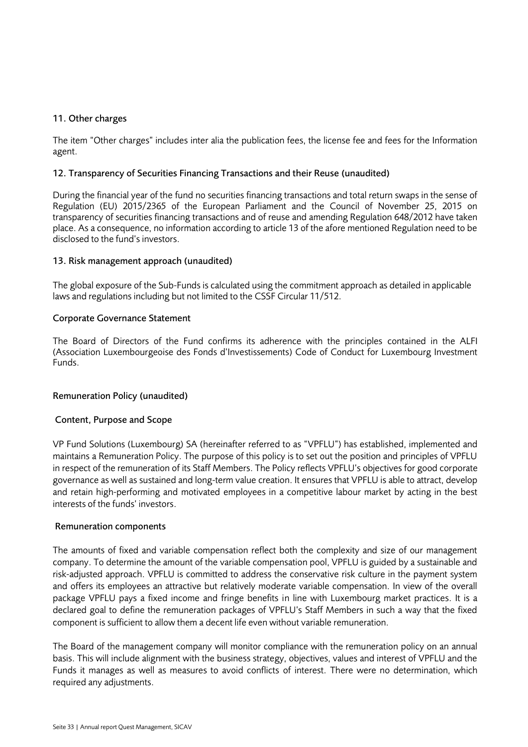### 11. Other charges

The item "Other charges" includes inter alia the publication fees, the license fee and fees for the Information agent.

### 12. Transparency of Securities Financing Transactions and their Reuse (unaudited)

During the financial year of the fund no securities financing transactions and total return swaps in the sense of Regulation (EU) 2015/2365 of the European Parliament and the Council of November 25, 2015 on transparency of securities financing transactions and of reuse and amending Regulation 648/2012 have taken place. As a consequence, no information according to article 13 of the afore mentioned Regulation need to be disclosed to the fund's investors.

### 13. Risk management approach (unaudited)

The global exposure of the Sub-Funds is calculated using the commitment approach as detailed in applicable laws and regulations including but not limited to the CSSF Circular 11/512.

### Corporate Governance Statement

The Board of Directors of the Fund confirms its adherence with the principles contained in the ALFI (Association Luxembourgeoise des Fonds d'Investissements) Code of Conduct for Luxembourg Investment Funds.

### Remuneration Policy (unaudited)

### Content, Purpose and Scope

VP Fund Solutions (Luxembourg) SA (hereinafter referred to as "VPFLU") has established, implemented and maintains a Remuneration Policy. The purpose of this policy is to set out the position and principles of VPFLU in respect of the remuneration of its Staff Members. The Policy reflects VPFLU's objectives for good corporate governance as well as sustained and long-term value creation. It ensures that VPFLU is able to attract, develop and retain high-performing and motivated employees in a competitive labour market by acting in the best interests of the funds' investors.

### Remuneration components

The amounts of fixed and variable compensation reflect both the complexity and size of our management company. To determine the amount of the variable compensation pool, VPFLU is guided by a sustainable and risk-adjusted approach. VPFLU is committed to address the conservative risk culture in the payment system and offers its employees an attractive but relatively moderate variable compensation. In view of the overall package VPFLU pays a fixed income and fringe benefits in line with Luxembourg market practices. It is a declared goal to define the remuneration packages of VPFLU's Staff Members in such a way that the fixed component is sufficient to allow them a decent life even without variable remuneration.

The Board of the management company will monitor compliance with the remuneration policy on an annual basis. This will include alignment with the business strategy, objectives, values and interest of VPFLU and the Funds it manages as well as measures to avoid conflicts of interest. There were no determination, which required any adjustments.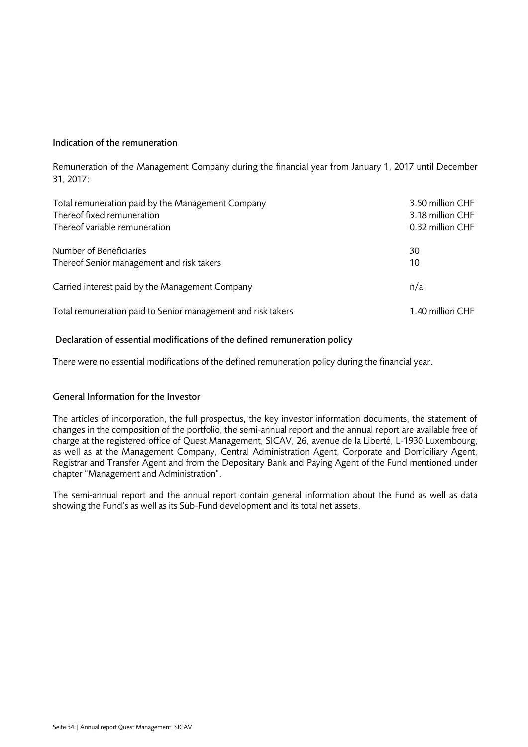### Indication of the remuneration

Remuneration of the Management Company during the financial year from January 1, 2017 until December 31, 2017:

| Total remuneration paid by the Management Company            | 3.50 million CHF |
|--------------------------------------------------------------|------------------|
| Thereof fixed remuneration                                   | 3.18 million CHF |
| Thereof variable remuneration                                | 0.32 million CHF |
| Number of Beneficiaries                                      | 30               |
| Thereof Senior management and risk takers                    | 10               |
| Carried interest paid by the Management Company              | n/a              |
| Total remuneration paid to Senior management and risk takers | 1.40 million CHF |

### Declaration of essential modifications of the defined remuneration policy

There were no essential modifications of the defined remuneration policy during the financial year.

### General Information for the Investor

The articles of incorporation, the full prospectus, the key investor information documents, the statement of changes in the composition of the portfolio, the semi-annual report and the annual report are available free of charge at the registered office of Quest Management, SICAV, 26, avenue de la Liberté, L-1930 Luxembourg, as well as at the Management Company, Central Administration Agent, Corporate and Domiciliary Agent, Registrar and Transfer Agent and from the Depositary Bank and Paying Agent of the Fund mentioned under chapter "Management and Administration".

The semi-annual report and the annual report contain general information about the Fund as well as data showing the Fund's as well as its Sub-Fund development and its total net assets.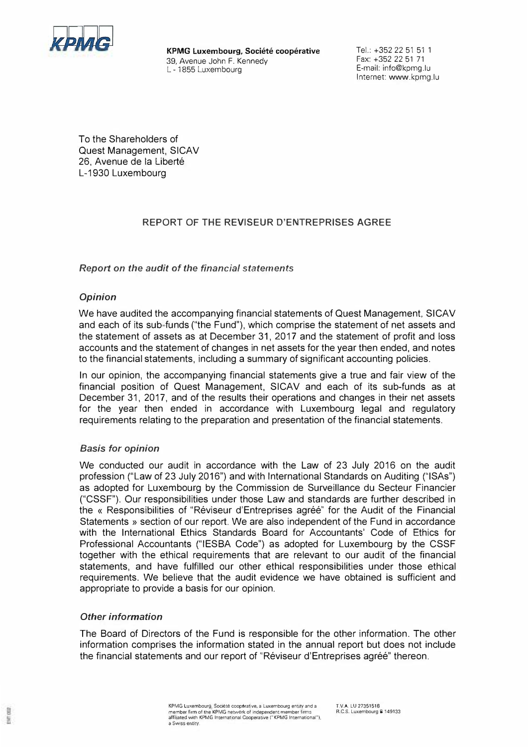

**KPMG Luxembourg, Societe cooperative**  39, Avenue John F. Kennedy L - 1855 Luxembourg

Tel.: +352 22 51 51 1 Fax: +352 22 51 71 E-mail: info@kpmg.lu Internet: www.kpmg.lu

<span id="page-34-0"></span>Ta the Shareholders of Quest Management, SICAV 26. Avenue de la Liberté L-1930 Luxembourg

### **REPORT OF THE REVISEUR D'ENTREPRISES AGREE**

### *Report on the audit* **of** *the financial statements*

### *Opinion*

We have audited the accompanying financial statements of Quest Management, SICAV and each of its sub funds ("the Fund"), which comprise the statement of net assets and the statement of assets as at December 31, 2017 and the statement of profit and loss accounts and the statement of changes in net assets for the year then ended, and notes to the financial statements, including a summary of significant accounting policies.

In our opinion, the accompanying financial statements give a true and fair view of the financial position of Quest Management, SICAV and each of its sub-funds as at December 31, 2017, and of the results their operations and changes in their net assets for the year then ended in accordance with Luxembourg legal and regulatory requirements relating to the preparation and presentation of the financial statements.

### *Basis for opinion*

We conducted our audit in accordance with the Law of 23 July 2016 on the audit profession ("Law of 23 July 2016") and with International Standards an Auditing ("ISAs") as adopted for Luxembourg by the Commission de Surveillance du Secteur Financier ("CSSF"). Our responsibilities under those Law and standards are further described in the « Responsibilities of "Réviseur d'Entreprises agréé" for the Audit of the Financial Statements » section of our report. We are also independent of the Fund in accordance with the International Ethics Standards Board for Accountants' Code of Ethics for Professional Accountants ("IESBA Code") as adopted for Luxembourg by the CSSF together with the ethical requirements that are relevant to our audit of the financial statements, and have fulfilled our other ethical responsibilities under those ethical requirements. We believe that the audit evidence we have obtained is sufficient and appropriate to provide a basis for our opinion.

### *Other information*

톺

The Board of Directors of the Fund is responsible for the other information. The other information comprises the information stated in the annual report but does not include the financial statements and our report of "Réviseur d'Entreprises agréé" thereon.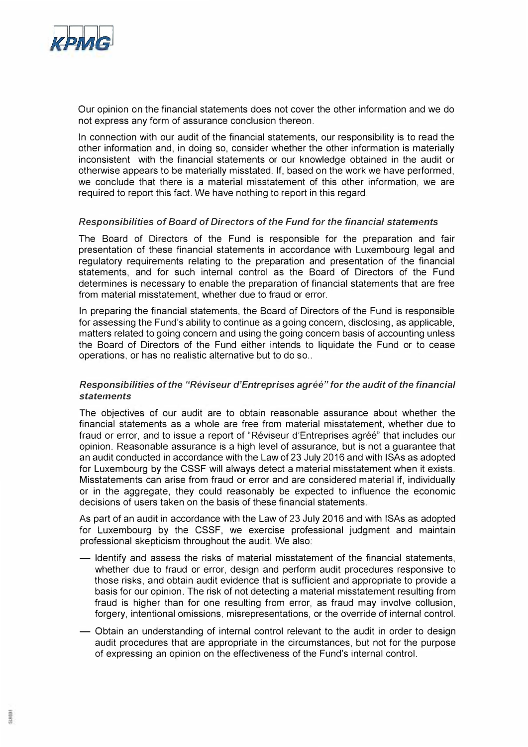

Our opinion on the financial statements does not cover the other information and we do not express any form of assurance conclusion thereon.

In connection with our audit of the financial statements, our responsibility is to read the other information and, in doing so, consider whether the other information is materially inconsistent with the financial statements or our knowledge obtained in the audit or otherwise appears to be materially misstated. lf, based on the work we have performed, we conclude that there is a material misstatement of this other information, we are required to report this fact. We have nothing to report in this regard.

### *Responsibilities of Board of Directors of the Fund for the financial statements*

The Board of Directors of the Fund is responsible for the preparation and fair presentation of these financial statements in accordance with Luxembourg legal and regulatory requirements relating to the preparation and presentation of the financial statements, and for such internal control as the Board of Directors of the Fund determines is necessary to enable the preparation of financial statements that are free from material misstatement, whether due to fraud or error.

In preparing the financial statements, the Board of Directors of the Fund is responsible for assessing the Fund's ability to continue as a going concern, disclosing, as applicable, matters related to going concern and using the going concern basis of accounting unless the Board of Directors of the Fund either intends to liquidate the Fund or to cease operations, or has no realistic alternative but to do so..

### *Responsibilities of the "Réviseur d'Entreprises agréé" for the audit of the financial statements*

The objectives of our audit are to obtain reasonable assurance about whether the financial statements as a whole are free from material misstatement, whether due to fraud or error, and to issue a report of "Réviseur d'Entreprises agréé" that includes our opinion. Reasonable assurance is a high level of assurance, but is not a guarantee that an audit conducted in accordance with the Law of 23 July 2016 and with ISAs as adopted for Luxembourg by the CSSF will always detect a material misstatement when it exists. Misstatements can arise from fraud or error and are considered material if, individually or in the aggregate, they could reasonably be expected to influence the economic decisions of users taken on the basis of these financial statements.

As part of an audit in accordance with the Law of 23 July 2016 and with ISAs as adopted for Luxembourg by the CSSF, we exercise professional judgment and maintain professional skepticism throughout the audit. We also:

- ldentify and assess the risks of material misstatement of the financial statements, whether due to fraud or error, design and perform audit procedures responsive to those risks, and obtain audit evidence that is sufficient and appropriate to provide a basis for our opinion. The risk of not detecting a material misstatement resulting from fraud is higher than for one resulting from error, as fraud may involve collusion, forgery, intentional omissions, misrepresentations, or the override of internal control.
- Obtain an understanding of internal control relevant to the audit in order to design audit procedures that are appropriate in the circumstances, but not for the purpose of expressing an opinion on the effectiveness of the Fund's internal control.